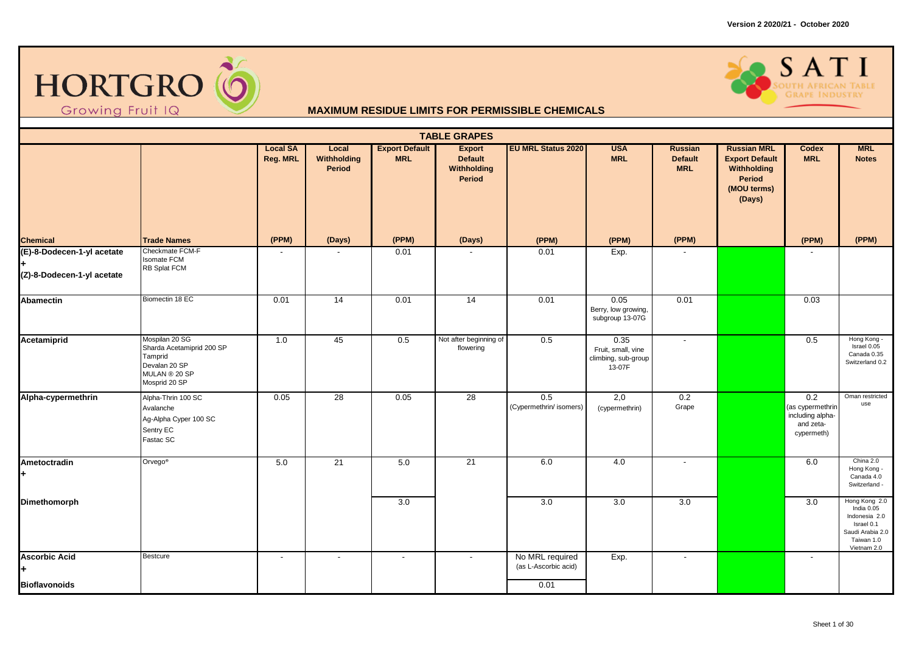



|                                                          |                                                                                                           |                             |                                |                                     | <b>TABLE GRAPES</b>                                      |                                                 |                                                             |                                                |                                                                                               |                                                                        |                                                                                                             |
|----------------------------------------------------------|-----------------------------------------------------------------------------------------------------------|-----------------------------|--------------------------------|-------------------------------------|----------------------------------------------------------|-------------------------------------------------|-------------------------------------------------------------|------------------------------------------------|-----------------------------------------------------------------------------------------------|------------------------------------------------------------------------|-------------------------------------------------------------------------------------------------------------|
|                                                          |                                                                                                           | <b>Local SA</b><br>Reg. MRL | Local<br>Withholding<br>Period | <b>Export Default</b><br><b>MRL</b> | <b>Export</b><br><b>Default</b><br>Withholding<br>Period | <b>EU MRL Status 2020</b>                       | <b>USA</b><br><b>MRL</b>                                    | <b>Russian</b><br><b>Default</b><br><b>MRL</b> | <b>Russian MRL</b><br><b>Export Default</b><br>Withholding<br>Period<br>(MOU terms)<br>(Days) | <b>Codex</b><br><b>MRL</b>                                             | <b>MRL</b><br><b>Notes</b>                                                                                  |
| <b>Chemical</b>                                          | <b>Trade Names</b>                                                                                        | (PPM)                       | (Days)                         | (PPM)                               | (Days)                                                   | (PPM)                                           | (PPM)                                                       | (PPM)                                          |                                                                                               | (PPM)                                                                  | (PPM)                                                                                                       |
| (E)-8-Dodecen-1-yl acetate<br>(Z)-8-Dodecen-1-yl acetate | Checkmate FCM-F<br><b>Isomate FCM</b><br>RB Splat FCM                                                     |                             |                                | 0.01                                |                                                          | 0.01                                            | Exp.                                                        |                                                |                                                                                               |                                                                        |                                                                                                             |
| <b>Abamectin</b>                                         | Biomectin 18 EC                                                                                           | 0.01                        | 14                             | 0.01                                | 14                                                       | 0.01                                            | 0.05<br>Berry, low growing,<br>subgroup 13-07G              | 0.01                                           |                                                                                               | 0.03                                                                   |                                                                                                             |
| Acetamiprid                                              | Mospilan 20 SG<br>Sharda Acetamiprid 200 SP<br>Tamprid<br>Devalan 20 SP<br>MULAN ® 20 SP<br>Mosprid 20 SP | 1.0                         | 45                             | 0.5                                 | Not after beginning of<br>flowering                      | 0.5                                             | 0.35<br>Fruit, small, vine<br>climbing, sub-group<br>13-07F | $\sim$                                         |                                                                                               | 0.5                                                                    | Hong Kong -<br>Israel 0.05<br>Canada 0.35<br>Switzerland 0.2                                                |
| Alpha-cypermethrin                                       | Alpha-Thrin 100 SC<br>Avalanche<br>Ag-Alpha Cyper 100 SC<br>Sentry EC<br>Fastac SC                        | 0.05                        | 28                             | 0.05                                | 28                                                       | 0.5<br>(Cypermethrin/ isomers)                  | 2,0<br>(cypermethrin)                                       | 0.2<br>Grape                                   |                                                                                               | 0.2<br>(as cypermethrin<br>including alpha-<br>and zeta-<br>cypermeth) | Oman restricted<br>use                                                                                      |
| Ametoctradin<br>٠                                        | Orvego <sup>®</sup>                                                                                       | 5.0                         | 21                             | 5.0                                 | 21                                                       | 6.0                                             | 4.0                                                         | $\overline{\phantom{a}}$                       |                                                                                               | 6.0                                                                    | China 2.0<br>Hong Kong -<br>Canada 4.0<br>Switzerland -                                                     |
| Dimethomorph                                             |                                                                                                           |                             |                                | 3.0                                 |                                                          | 3.0                                             | 3.0                                                         | 3.0                                            |                                                                                               | 3.0                                                                    | Hong Kong 2.0<br>India 0.05<br>Indonesia 2.0<br>Israel 0.1<br>Saudi Arabia 2.0<br>Taiwan 1.0<br>Vietnam 2.0 |
| <b>Ascorbic Acid</b><br><b>Bioflavonoids</b>             | Bestcure                                                                                                  | $\overline{\phantom{a}}$    | $\sim$                         | $\sim$                              | $\overline{\phantom{a}}$                                 | No MRL required<br>(as L-Ascorbic acid)<br>0.01 | Exp.                                                        | $\sim$                                         |                                                                                               | $\overline{\phantom{a}}$                                               |                                                                                                             |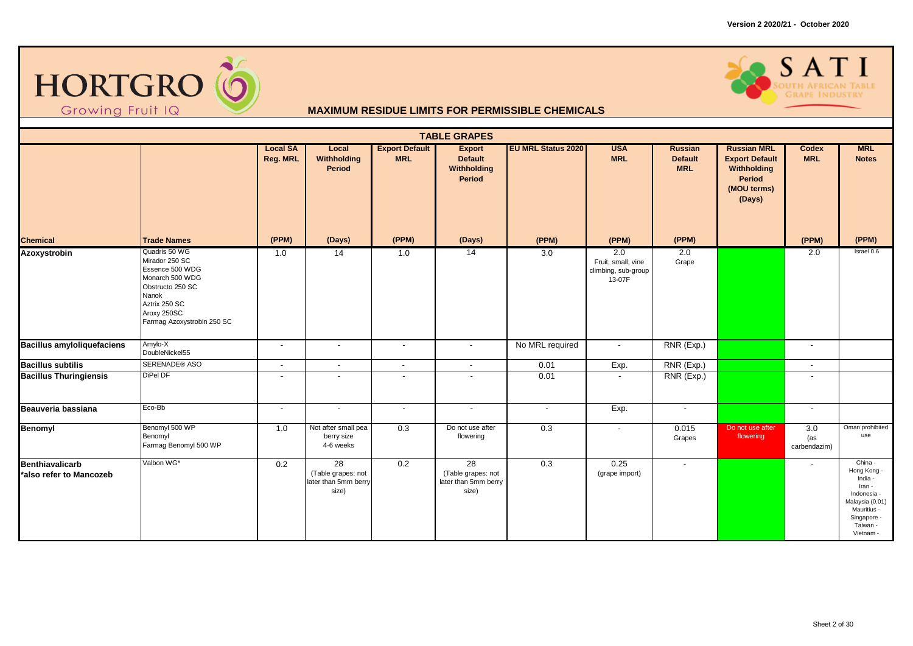



|                                                   |                                                                                                                                                                  |                                    |                                                                        |                                     | <b>TABLE GRAPES</b>                                       |                           |                                                                         |                                                |                                                                                                      |                            |                                                                                                                                      |
|---------------------------------------------------|------------------------------------------------------------------------------------------------------------------------------------------------------------------|------------------------------------|------------------------------------------------------------------------|-------------------------------------|-----------------------------------------------------------|---------------------------|-------------------------------------------------------------------------|------------------------------------------------|------------------------------------------------------------------------------------------------------|----------------------------|--------------------------------------------------------------------------------------------------------------------------------------|
|                                                   |                                                                                                                                                                  | <b>Local SA</b><br><b>Reg. MRL</b> | Local<br>Withholding<br>Period                                         | <b>Export Default</b><br><b>MRL</b> | <b>Export</b><br><b>Default</b><br>Withholding<br>Period  | <b>EU MRL Status 2020</b> | <b>USA</b><br><b>MRL</b>                                                | <b>Russian</b><br><b>Default</b><br><b>MRL</b> | <b>Russian MRL</b><br><b>Export Default</b><br>Withholding<br><b>Period</b><br>(MOU terms)<br>(Days) | <b>Codex</b><br><b>MRL</b> | <b>MRL</b><br><b>Notes</b>                                                                                                           |
| <b>Chemical</b>                                   | <b>Trade Names</b>                                                                                                                                               | (PPM)                              | (Days)                                                                 | (PPM)                               | (Days)                                                    | (PPM)                     | (PPM)                                                                   | (PPM)                                          |                                                                                                      | (PPM)                      | (PPM)                                                                                                                                |
| <b>Azoxystrobin</b>                               | Quadris 50 WG<br>Mirador 250 SC<br>Essence 500 WDG<br>Monarch 500 WDG<br>Obstructo 250 SC<br>Nanok<br>Aztrix 250 SC<br>Aroxy 250SC<br>Farmag Azoxystrobin 250 SC | 1.0                                | $\overline{14}$                                                        | 1.0                                 | 14                                                        | $\overline{3.0}$          | $\overline{2.0}$<br>Fruit, small, vine<br>climbing, sub-group<br>13-07F | $\overline{2.0}$<br>Grape                      |                                                                                                      | 2.0                        | Israel 0.6                                                                                                                           |
| <b>Bacillus amyloliquefaciens</b>                 | Amylo-X<br>DoubleNickel55                                                                                                                                        | $\overline{\phantom{a}}$           | $\blacksquare$                                                         | $\blacksquare$                      | $\sim$                                                    | No MRL required           | $\blacksquare$                                                          | RNR (Exp.)                                     |                                                                                                      | $\overline{\phantom{a}}$   |                                                                                                                                      |
| <b>Bacillus subtilis</b>                          | SERENADE® ASO                                                                                                                                                    | $\blacksquare$                     | $\blacksquare$                                                         | $\sim$                              | $\overline{\phantom{a}}$                                  | 0.01                      | Exp.                                                                    | RNR (Exp.)                                     |                                                                                                      | $\sim$                     |                                                                                                                                      |
| <b>Bacillus Thuringiensis</b>                     | DiPel DF                                                                                                                                                         | $\overline{\phantom{a}}$           |                                                                        |                                     |                                                           | 0.01                      |                                                                         | RNR (Exp.)                                     |                                                                                                      |                            |                                                                                                                                      |
| Beauveria bassiana                                | Eco-Bb                                                                                                                                                           | $\overline{\phantom{a}}$           | $\blacksquare$                                                         | $\overline{\phantom{a}}$            | $\overline{\phantom{a}}$                                  | $\overline{\phantom{a}}$  | Exp.                                                                    | $\sim$                                         |                                                                                                      | $\sim$                     |                                                                                                                                      |
| Benomyl                                           | Benomyl 500 WP<br>Benomyl<br>Farmag Benomyl 500 WP                                                                                                               | 1.0                                | Not after small pea<br>berry size<br>4-6 weeks                         | 0.3                                 | Do not use after<br>flowering                             | 0.3                       | $\blacksquare$                                                          | 0.015<br>Grapes                                | Do not use after<br>flowering                                                                        | 3.0<br>(as<br>carbendazim) | Oman prohibited<br>use                                                                                                               |
| <b>Benthiavalicarb</b><br>*also refer to Mancozeb | Valbon WG*                                                                                                                                                       | 0.2                                | $\overline{28}$<br>(Table grapes: not<br>later than 5mm berry<br>size) | 0.2                                 | 28<br>(Table grapes: not<br>later than 5mm berry<br>size) | 0.3                       | 0.25<br>(grape import)                                                  | $\overline{\phantom{a}}$                       |                                                                                                      |                            | China -<br>Hong Kong -<br>India -<br>Iran -<br>Indonesia -<br>Malaysia (0.01)<br>Mauritius -<br>Singapore -<br>Taiwan -<br>Vietnam - |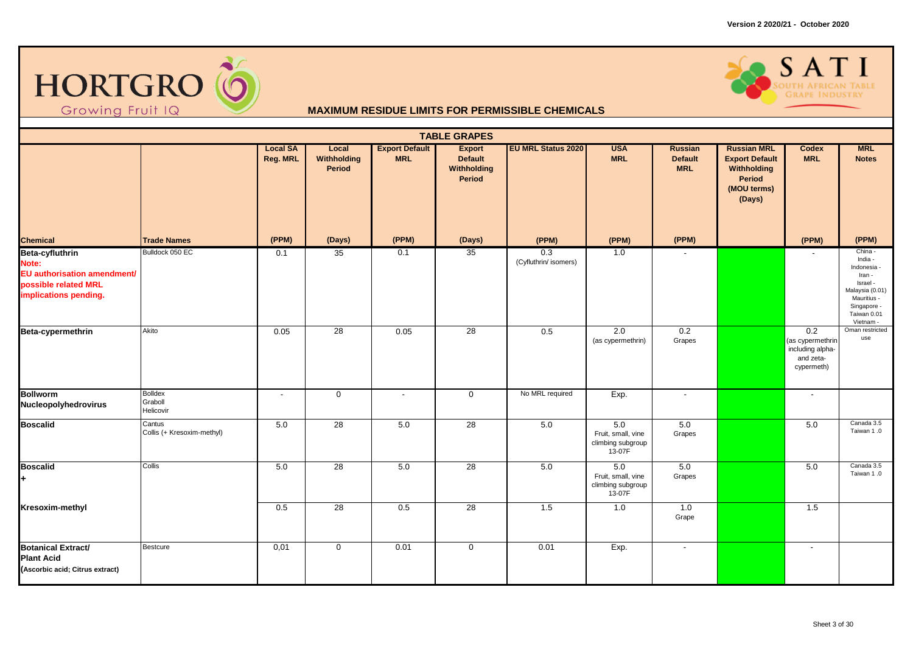



|                                                                                                          |                                        |                             |                                       |                                     | <b>TABLE GRAPES</b>                                      |                              |                                                          |                                                |                                                                                               |                                                                        |                                                                                                                                      |
|----------------------------------------------------------------------------------------------------------|----------------------------------------|-----------------------------|---------------------------------------|-------------------------------------|----------------------------------------------------------|------------------------------|----------------------------------------------------------|------------------------------------------------|-----------------------------------------------------------------------------------------------|------------------------------------------------------------------------|--------------------------------------------------------------------------------------------------------------------------------------|
|                                                                                                          |                                        | <b>Local SA</b><br>Reg. MRL | Local<br>Withholding<br><b>Period</b> | <b>Export Default</b><br><b>MRL</b> | <b>Export</b><br><b>Default</b><br>Withholding<br>Period | <b>EU MRL Status 2020</b>    | <b>USA</b><br><b>MRL</b>                                 | <b>Russian</b><br><b>Default</b><br><b>MRL</b> | <b>Russian MRL</b><br><b>Export Default</b><br>Withholding<br>Period<br>(MOU terms)<br>(Days) | Codex<br><b>MRL</b>                                                    | <b>MRL</b><br><b>Notes</b>                                                                                                           |
| <b>Chemical</b>                                                                                          | <b>Trade Names</b>                     | (PPM)                       | (Days)                                | (PPM)                               | (Days)                                                   | (PPM)                        | (PPM)                                                    | (PPM)                                          |                                                                                               | (PPM)                                                                  | (PPM)                                                                                                                                |
| Beta-cyfluthrin<br>Note:<br>EU authorisation amendment/<br>possible related MRL<br>implications pending. | Bulldock 050 EC                        | 0.1                         | 35                                    | 0.1                                 | 35                                                       | 0.3<br>(Cyfluthrin/ isomers) | 1.0                                                      |                                                |                                                                                               |                                                                        | China -<br>India -<br>Indonesia -<br>Iran -<br>Israel -<br>Malaysia (0.01)<br>Mauritius -<br>Singapore -<br>Taiwan 0.01<br>Vietnam - |
| Beta-cypermethrin                                                                                        | Akito                                  | 0.05                        | 28                                    | 0.05                                | 28                                                       | 0.5                          | 2.0<br>(as cypermethrin)                                 | 0.2<br>Grapes                                  |                                                                                               | 0.2<br>(as cypermethrin<br>including alpha-<br>and zeta-<br>cypermeth) | Oman restricted<br>use                                                                                                               |
| <b>Bollworm</b><br>Nucleopolyhedrovirus                                                                  | <b>Bolldex</b><br>Graboll<br>Helicovir | $\sim$                      | $\mathbf 0$                           | $\blacksquare$                      | $\mathbf 0$                                              | No MRL required              | Exp.                                                     | $\sim$                                         |                                                                                               | $\blacksquare$                                                         |                                                                                                                                      |
| <b>Boscalid</b>                                                                                          | Cantus<br>Collis (+ Kresoxim-methyl)   | 5.0                         | 28                                    | 5.0                                 | 28                                                       | 5.0                          | 5.0<br>Fruit, small, vine<br>climbing subgroup<br>13-07F | 5.0<br>Grapes                                  |                                                                                               | 5.0                                                                    | Canada 3.5<br>Taiwan 1.0                                                                                                             |
| <b>Boscalid</b><br>۰                                                                                     | Collis                                 | 5.0                         | $\overline{28}$                       | 5.0                                 | 28                                                       | 5.0                          | 5.0<br>Fruit, small, vine<br>climbing subgroup<br>13-07F | 5.0<br>Grapes                                  |                                                                                               | 5.0                                                                    | Canada 3.5<br>Taiwan 1.0                                                                                                             |
| Kresoxim-methyl                                                                                          |                                        | 0.5                         | 28                                    | 0.5                                 | 28                                                       | 1.5                          | 1.0                                                      | 1.0<br>Grape                                   |                                                                                               | 1.5                                                                    |                                                                                                                                      |
| <b>Botanical Extract/</b><br><b>Plant Acid</b><br>(Ascorbic acid; Citrus extract)                        | <b>Bestcure</b>                        | 0,01                        | $\mathbf 0$                           | 0.01                                | $\mathbf 0$                                              | 0.01                         | Exp.                                                     | $\sim$                                         |                                                                                               | $\overline{\phantom{a}}$                                               |                                                                                                                                      |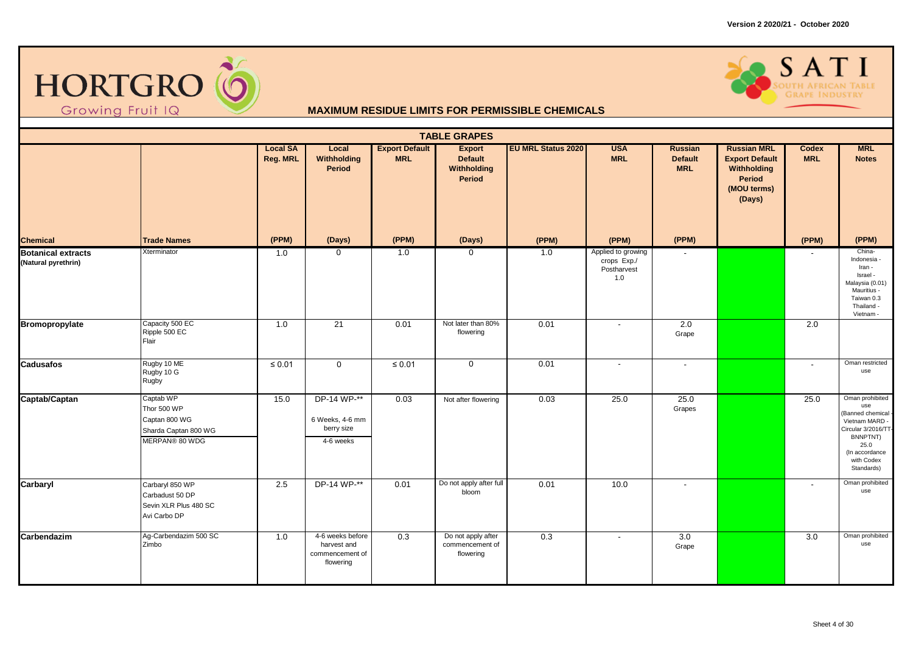



|                                                  |                                                                                     |                                    |                                                                 |                                     | <b>TABLE GRAPES</b>                                      |                           |                                                         |                                         |                                                                                                      |                            |                                                                                                                                                         |
|--------------------------------------------------|-------------------------------------------------------------------------------------|------------------------------------|-----------------------------------------------------------------|-------------------------------------|----------------------------------------------------------|---------------------------|---------------------------------------------------------|-----------------------------------------|------------------------------------------------------------------------------------------------------|----------------------------|---------------------------------------------------------------------------------------------------------------------------------------------------------|
|                                                  |                                                                                     | <b>Local SA</b><br><b>Reg. MRL</b> | Local<br>Withholding<br>Period                                  | <b>Export Default</b><br><b>MRL</b> | <b>Export</b><br><b>Default</b><br>Withholding<br>Period | <b>EU MRL Status 2020</b> | <b>USA</b><br><b>MRL</b>                                | Russian<br><b>Default</b><br><b>MRL</b> | <b>Russian MRL</b><br><b>Export Default</b><br>Withholding<br><b>Period</b><br>(MOU terms)<br>(Days) | <b>Codex</b><br><b>MRL</b> | <b>MRL</b><br><b>Notes</b>                                                                                                                              |
| <b>Chemical</b>                                  | <b>Trade Names</b>                                                                  | (PPM)                              | (Days)                                                          | (PPM)                               | (Days)                                                   | (PPM)                     | (PPM)                                                   | (PPM)                                   |                                                                                                      | (PPM)                      | (PPM)                                                                                                                                                   |
| <b>Botanical extracts</b><br>(Natural pyrethrin) | Xterminator                                                                         | 1.0                                | $\mathbf 0$                                                     | 1.0                                 | $\mathbf 0$                                              | 1.0                       | Applied to growing<br>crops Exp./<br>Postharvest<br>1.0 | $\blacksquare$                          |                                                                                                      |                            | China-<br>Indonesia -<br>Iran -<br>Israel -<br>Malaysia (0.01)<br>Mauritius -<br>Taiwan 0.3<br>Thailand -<br>Vietnam -                                  |
| <b>Bromopropylate</b>                            | Capacity 500 EC<br>Ripple 500 EC<br>Flair                                           | 1.0                                | 21                                                              | 0.01                                | Not later than 80%<br>flowering                          | 0.01                      |                                                         | 2.0<br>Grape                            |                                                                                                      | 2.0                        |                                                                                                                                                         |
| <b>Cadusafos</b>                                 | Rugby 10 ME<br>Rugby 10 G<br>Rugby                                                  | $\leq 0.01$                        | $\mathbf 0$                                                     | $\leq 0.01$                         | $\mathbf 0$                                              | 0.01                      | $\overline{\phantom{a}}$                                | $\blacksquare$                          |                                                                                                      | $\overline{\phantom{a}}$   | Oman restricted<br>use                                                                                                                                  |
| Captab/Captan                                    | Captab WP<br>Thor 500 WP<br>Captan 800 WG<br>Sharda Captan 800 WG<br>MERPAN® 80 WDG | 15.0                               | DP-14 WP-**<br>6 Weeks, 4-6 mm<br>berry size<br>4-6 weeks       | 0.03                                | Not after flowering                                      | 0.03                      | 25.0                                                    | 25.0<br>Grapes                          |                                                                                                      | 25.0                       | Oman prohibited<br>use<br>(Banned chemical -<br>Vietnam MARD -<br>Circular 3/2016/TT-<br>BNNPTNT)<br>25.0<br>(In accordance<br>with Codex<br>Standards) |
| Carbaryl                                         | Carbaryl 850 WP<br>Carbadust 50 DP<br>Sevin XLR Plus 480 SC<br>Avi Carbo DP         | 2.5                                | DP-14 WP-**                                                     | 0.01                                | Do not apply after full<br>bloom                         | 0.01                      | 10.0                                                    | $\overline{\phantom{a}}$                |                                                                                                      | $\overline{\phantom{0}}$   | Oman prohibited<br>use                                                                                                                                  |
| Carbendazim                                      | Ag-Carbendazim 500 SC<br>Zimbo                                                      | 1.0                                | 4-6 weeks before<br>harvest and<br>commencement of<br>flowering | 0.3                                 | Do not apply after<br>commencement of<br>flowering       | 0.3                       | $\overline{\phantom{a}}$                                | 3.0<br>Grape                            |                                                                                                      | 3.0                        | Oman prohibited<br>use                                                                                                                                  |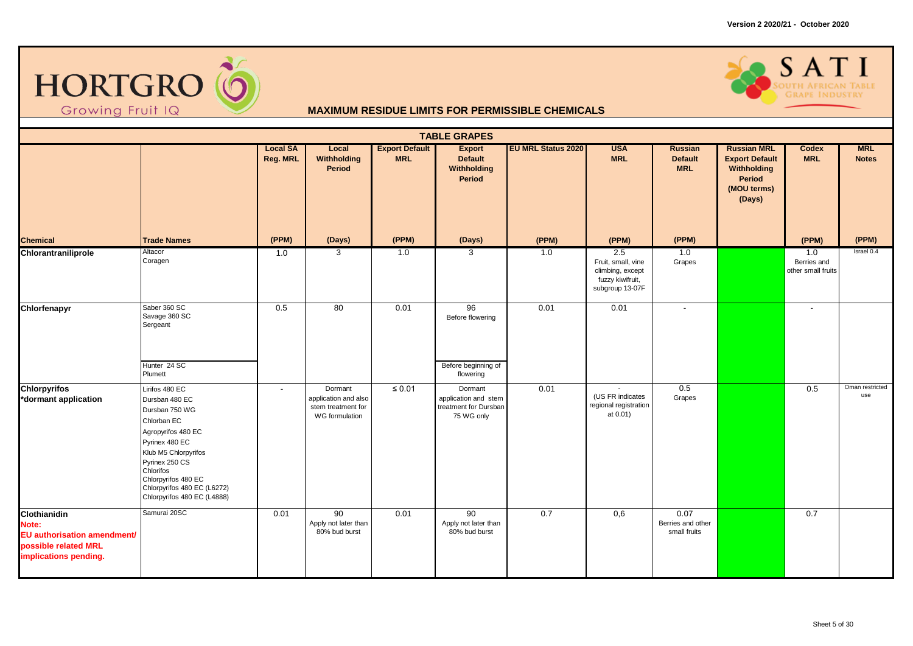



|                                                                                                       |                                                                                                                                                                                                                                                       |                             |                                                                         |                                     | <b>TABLE GRAPES</b>                                                    |                           |                                                                                                   |                                                |                                                                                               |                                          |                            |
|-------------------------------------------------------------------------------------------------------|-------------------------------------------------------------------------------------------------------------------------------------------------------------------------------------------------------------------------------------------------------|-----------------------------|-------------------------------------------------------------------------|-------------------------------------|------------------------------------------------------------------------|---------------------------|---------------------------------------------------------------------------------------------------|------------------------------------------------|-----------------------------------------------------------------------------------------------|------------------------------------------|----------------------------|
|                                                                                                       |                                                                                                                                                                                                                                                       | <b>Local SA</b><br>Reg. MRL | Local<br>Withholding<br>Period                                          | <b>Export Default</b><br><b>MRL</b> | <b>Export</b><br><b>Default</b><br>Withholding<br>Period               | <b>EU MRL Status 2020</b> | <b>USA</b><br><b>MRL</b>                                                                          | <b>Russian</b><br><b>Default</b><br><b>MRL</b> | <b>Russian MRL</b><br><b>Export Default</b><br>Withholding<br>Period<br>(MOU terms)<br>(Days) | <b>Codex</b><br><b>MRL</b>               | <b>MRL</b><br><b>Notes</b> |
| <b>Chemical</b>                                                                                       | <b>Trade Names</b>                                                                                                                                                                                                                                    | (PPM)                       | (Days)                                                                  | (PPM)                               | (Days)                                                                 | (PPM)                     | (PPM)                                                                                             | (PPM)                                          |                                                                                               | (PPM)                                    | (PPM)                      |
| Chlorantraniliprole                                                                                   | Altacor<br>Coragen                                                                                                                                                                                                                                    | 1.0                         | 3                                                                       | 1.0                                 | 3                                                                      | 1.0                       | $\overline{2.5}$<br>Fruit, small, vine<br>climbing, except<br>fuzzy kiwifruit,<br>subgroup 13-07F | 1.0<br>Grapes                                  |                                                                                               | 1.0<br>Berries and<br>other small fruits | Israel 0.4                 |
| Chlorfenapyr                                                                                          | Saber 360 SC<br>Savage 360 SC<br>Sergeant                                                                                                                                                                                                             | 0.5                         | 80                                                                      | 0.01                                | 96<br>Before flowering                                                 | 0.01                      | 0.01                                                                                              | $\overline{\phantom{a}}$                       |                                                                                               | $\sim$                                   |                            |
|                                                                                                       | Hunter 24 SC<br>Plumett                                                                                                                                                                                                                               |                             |                                                                         |                                     | Before beginning of<br>flowering                                       |                           |                                                                                                   |                                                |                                                                                               |                                          |                            |
| <b>Chlorpyrifos</b><br>*dormant application                                                           | Lirifos 480 EC<br>Dursban 480 EC<br>Dursban 750 WG<br>Chlorban EC<br>Agropyrifos 480 EC<br>Pyrinex 480 EC<br>Klub M5 Chlorpyrifos<br>Pyrinex 250 CS<br>Chlorifos<br>Chlorpyrifos 480 EC<br>Chlorpyrifos 480 EC (L6272)<br>Chlorpyrifos 480 EC (L4888) | $\overline{\phantom{a}}$    | Dormant<br>application and also<br>stem treatment for<br>WG formulation | $\leq 0.01$                         | Dormant<br>application and stem<br>treatment for Dursban<br>75 WG only | 0.01                      | (US FR indicates<br>regional registration<br>at 0.01)                                             | 0.5<br>Grapes                                  |                                                                                               | 0.5                                      | Oman restricted<br>use     |
| Clothianidin<br>Note:<br>EU authorisation amendment/<br>possible related MRL<br>implications pending. | Samurai 20SC                                                                                                                                                                                                                                          | 0.01                        | 90<br>Apply not later than<br>80% bud burst                             | 0.01                                | 90<br>Apply not later than<br>80% bud burst                            | 0.7                       | 0,6                                                                                               | 0.07<br>Berries and other<br>small fruits      |                                                                                               | 0.7                                      |                            |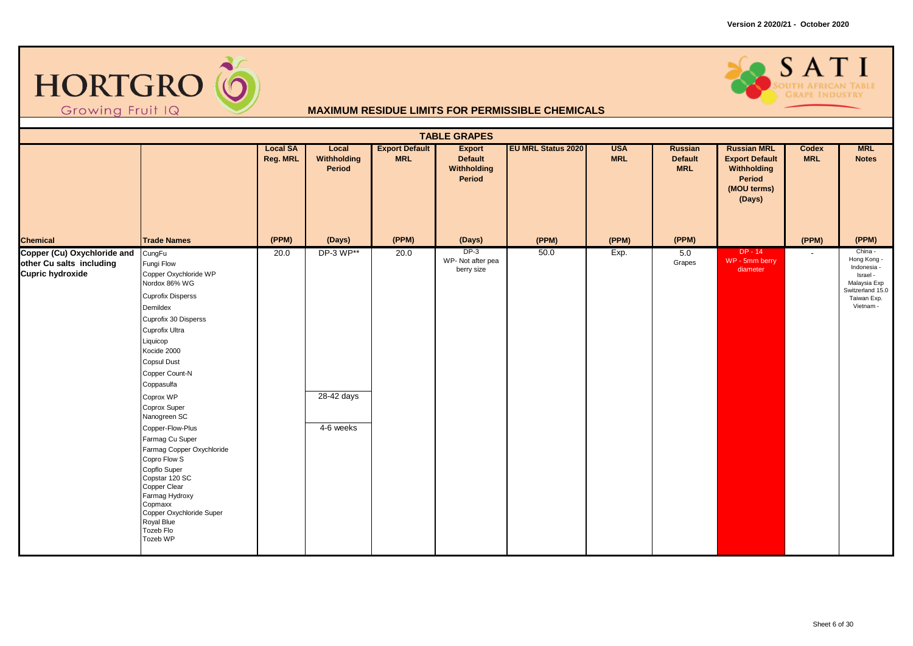



|                                                                                           |                                                                                                                                                                                                                                                                                                                                                                                                                                                                                                            |                             |                                      |                                     | <b>TABLE GRAPES</b>                                      |                           |                          |                                         |                                                                                               |                          |                                                                                                                   |
|-------------------------------------------------------------------------------------------|------------------------------------------------------------------------------------------------------------------------------------------------------------------------------------------------------------------------------------------------------------------------------------------------------------------------------------------------------------------------------------------------------------------------------------------------------------------------------------------------------------|-----------------------------|--------------------------------------|-------------------------------------|----------------------------------------------------------|---------------------------|--------------------------|-----------------------------------------|-----------------------------------------------------------------------------------------------|--------------------------|-------------------------------------------------------------------------------------------------------------------|
|                                                                                           |                                                                                                                                                                                                                                                                                                                                                                                                                                                                                                            | <b>Local SA</b><br>Reg. MRL | Local<br>Withholding<br>Period       | <b>Export Default</b><br><b>MRL</b> | <b>Export</b><br><b>Default</b><br>Withholding<br>Period | <b>EU MRL Status 2020</b> | <b>USA</b><br><b>MRL</b> | <b>Russian</b><br>Default<br><b>MRL</b> | <b>Russian MRL</b><br><b>Export Default</b><br>Withholding<br>Period<br>(MOU terms)<br>(Days) | Codex<br><b>MRL</b>      | <b>MRL</b><br><b>Notes</b>                                                                                        |
| <b>Chemical</b>                                                                           | <b>Trade Names</b>                                                                                                                                                                                                                                                                                                                                                                                                                                                                                         | (PPM)                       | (Days)                               | (PPM)                               | (Days)                                                   | (PPM)                     | (PPM)                    | (PPM)                                   |                                                                                               | (PPM)                    | (PPM)                                                                                                             |
| Copper (Cu) Oxychloride and CungFu<br>other Cu salts including<br><b>Cupric hydroxide</b> | Fungi Flow<br>Copper Oxychloride WP<br>Nordox 86% WG<br><b>Cuprofix Disperss</b><br>Demildex<br>Cuprofix 30 Disperss<br>Cuprofix Ultra<br>Liquicop<br>Kocide 2000<br><b>Copsul Dust</b><br>Copper Count-N<br>Coppasulfa<br>Coprox WP<br>Coprox Super<br>Nanogreen SC<br>Copper-Flow-Plus<br>Farmag Cu Super<br>Farmag Copper Oxychloride<br>Copro Flow S<br>Copflo Super<br>Copstar 120 SC<br>Copper Clear<br>Farmag Hydroxy<br>Copmaxx<br>Copper Oxychloride Super<br>Royal Blue<br>Tozeb Flo<br>Tozeb WP | 20.0                        | DP-3 WP**<br>28-42 days<br>4-6 weeks | 20.0                                | $DP-3$<br>WP- Not after pea<br>berry size                | 50.0                      | Exp.                     | 5.0<br>Grapes                           | DP - 14<br>WP - 5mm berry<br>diameter                                                         | $\overline{\phantom{a}}$ | China -<br>Hong Kong -<br>Indonesia -<br>Israel -<br>Malaysia Exp<br>Switzerland 15.0<br>Taiwan Exp.<br>Vietnam - |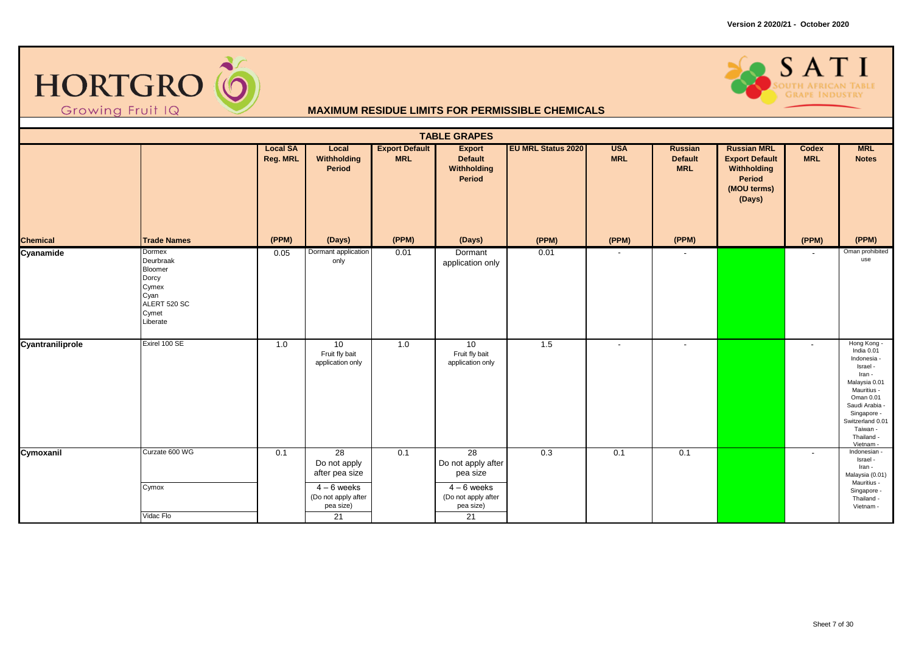



|                  |                                                                                               |                             |                                                                                                 |                                     | <b>TABLE GRAPES</b>                                                                                        |                           |                          |                                                |                                                                                                      |                          |                                                                                                                                                                                                         |
|------------------|-----------------------------------------------------------------------------------------------|-----------------------------|-------------------------------------------------------------------------------------------------|-------------------------------------|------------------------------------------------------------------------------------------------------------|---------------------------|--------------------------|------------------------------------------------|------------------------------------------------------------------------------------------------------|--------------------------|---------------------------------------------------------------------------------------------------------------------------------------------------------------------------------------------------------|
|                  |                                                                                               | <b>Local SA</b><br>Reg. MRL | Local<br>Withholding<br>Period                                                                  | <b>Export Default</b><br><b>MRL</b> | <b>Export</b><br><b>Default</b><br>Withholding<br>Period                                                   | <b>EU MRL Status 2020</b> | <b>USA</b><br><b>MRL</b> | <b>Russian</b><br><b>Default</b><br><b>MRL</b> | <b>Russian MRL</b><br><b>Export Default</b><br>Withholding<br><b>Period</b><br>(MOU terms)<br>(Days) | Codex<br><b>MRL</b>      | <b>MRL</b><br><b>Notes</b>                                                                                                                                                                              |
| <b>Chemical</b>  | <b>Trade Names</b>                                                                            | (PPM)                       | (Days)                                                                                          | (PPM)                               | (Days)                                                                                                     | (PPM)                     | (PPM)                    | (PPM)                                          |                                                                                                      | (PPM)                    | (PPM)                                                                                                                                                                                                   |
| Cyanamide        | Dormex<br>Deurbraak<br>Bloomer<br>Dorcy<br>Cymex<br>Cyan<br>ALERT 520 SC<br>Cymet<br>Liberate | 0.05                        | Dormant application<br>only                                                                     | 0.01                                | Dormant<br>application only                                                                                | 0.01                      | $\overline{\phantom{a}}$ | $\sim$                                         |                                                                                                      | $\overline{\phantom{a}}$ | Oman prohibited<br>use                                                                                                                                                                                  |
| Cyantraniliprole | Exirel 100 SE                                                                                 | 1.0                         | 10<br>Fruit fly bait<br>application only                                                        | 1.0                                 | 10<br>Fruit fly bait<br>application only                                                                   | 1.5                       | $\blacksquare$           | $\overline{\phantom{a}}$                       |                                                                                                      | $\blacksquare$           | Hong Kong -<br>India 0.01<br>Indonesia -<br>Israel -<br>Iran -<br>Malaysia 0.01<br>Mauritius -<br>Oman 0.01<br>Saudi Arabia -<br>Singapore -<br>Switzerland 0.01<br>Taiwan -<br>Thailand -<br>Vietnam - |
| Cymoxanil        | Curzate 600 WG<br>Cymox<br>Vidac Flo                                                          | 0.1                         | 28<br>Do not apply<br>after pea size<br>$4 - 6$ weeks<br>(Do not apply after<br>pea size)<br>21 | 0.1                                 | $\overline{28}$<br>Do not apply after<br>pea size<br>$4-6$ weeks<br>(Do not apply after<br>pea size)<br>21 | 0.3                       | 0.1                      | 0.1                                            |                                                                                                      | $\overline{\phantom{a}}$ | Indonesian -<br>Israel -<br>Iran -<br>Malaysia (0.01)<br>Mauritius -<br>Singapore -<br>Thailand -<br>Vietnam -                                                                                          |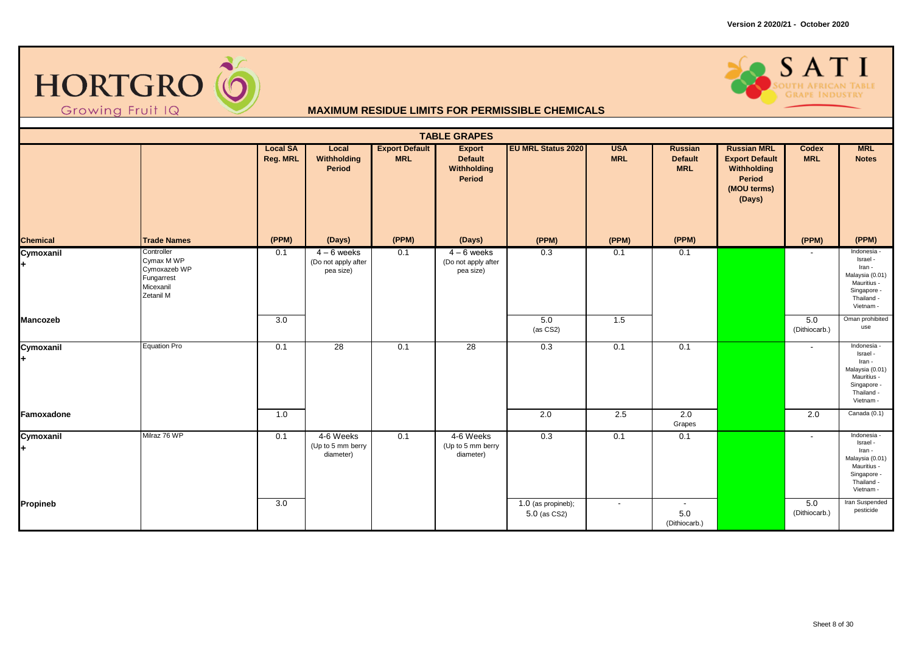



|                 |                                                                                  |                                    |                                                 |                                     | <b>TABLE GRAPES</b>                                      |                                    |                          |                                         |                                                                                               |                          |                                                                                                               |
|-----------------|----------------------------------------------------------------------------------|------------------------------------|-------------------------------------------------|-------------------------------------|----------------------------------------------------------|------------------------------------|--------------------------|-----------------------------------------|-----------------------------------------------------------------------------------------------|--------------------------|---------------------------------------------------------------------------------------------------------------|
|                 |                                                                                  | <b>Local SA</b><br><b>Reg. MRL</b> | Local<br>Withholding<br>Period                  | <b>Export Default</b><br><b>MRL</b> | <b>Export</b><br><b>Default</b><br>Withholding<br>Period | <b>EU MRL Status 2020</b>          | <b>USA</b><br><b>MRL</b> | Russian<br><b>Default</b><br><b>MRL</b> | <b>Russian MRL</b><br><b>Export Default</b><br>Withholding<br>Period<br>(MOU terms)<br>(Days) | Codex<br><b>MRL</b>      | <b>MRL</b><br><b>Notes</b>                                                                                    |
| <b>Chemical</b> | <b>Trade Names</b>                                                               | (PPM)                              | (Days)                                          | (PPM)                               | (Days)                                                   | (PPM)                              | (PPM)                    | (PPM)                                   |                                                                                               | (PPM)                    | (PPM)                                                                                                         |
| Cymoxanil       | Controller<br>Cymax M WP<br>Cymoxazeb WP<br>Fungarrest<br>Micexanil<br>Zetanil M | 0.1                                | $4-6$ weeks<br>(Do not apply after<br>pea size) | 0.1                                 | $4-6$ weeks<br>(Do not apply after<br>pea size)          | 0.3                                | 0.1                      | 0.1                                     |                                                                                               |                          | Indonesia -<br>Israel -<br>Iran -<br>Malaysia (0.01)<br>Mauritius -<br>Singapore -<br>Thailand -<br>Vietnam - |
| <b>Mancozeb</b> |                                                                                  | 3.0                                |                                                 |                                     |                                                          | 5.0<br>(as CS2)                    | 1.5                      |                                         |                                                                                               | 5.0<br>(Dithiocarb.)     | Oman prohibited<br>use                                                                                        |
| Cymoxanil       | <b>Equation Pro</b>                                                              | 0.1                                | 28                                              | 0.1                                 | 28                                                       | 0.3                                | 0.1                      | 0.1                                     |                                                                                               | $\overline{\phantom{a}}$ | Indonesia -<br>Israel -<br>Iran -<br>Malaysia (0.01)<br>Mauritius -<br>Singapore -<br>Thailand -<br>Vietnam - |
| Famoxadone      |                                                                                  | 1.0                                |                                                 |                                     |                                                          | $\overline{2.0}$                   | 2.5                      | 2.0<br>Grapes                           |                                                                                               | 2.0                      | Canada (0.1)                                                                                                  |
| Cymoxanil       | Milraz 76 WP                                                                     | 0.1                                | 4-6 Weeks<br>(Up to 5 mm berry<br>diameter)     | 0.1                                 | 4-6 Weeks<br>(Up to 5 mm berry<br>diameter)              | 0.3                                | 0.1                      | 0.1                                     |                                                                                               | $\overline{\phantom{a}}$ | Indonesia -<br>Israel -<br>Iran -<br>Malaysia (0.01)<br>Mauritius -<br>Singapore -<br>Thailand -<br>Vietnam - |
| Propineb        |                                                                                  | 3.0                                |                                                 |                                     |                                                          | 1.0 (as propineb);<br>5.0 (as CS2) | $\overline{\phantom{a}}$ | $\sim$<br>5.0<br>(Dithiocarb.)          |                                                                                               | 5.0<br>(Dithiocarb.)     | Iran Suspended<br>pesticide                                                                                   |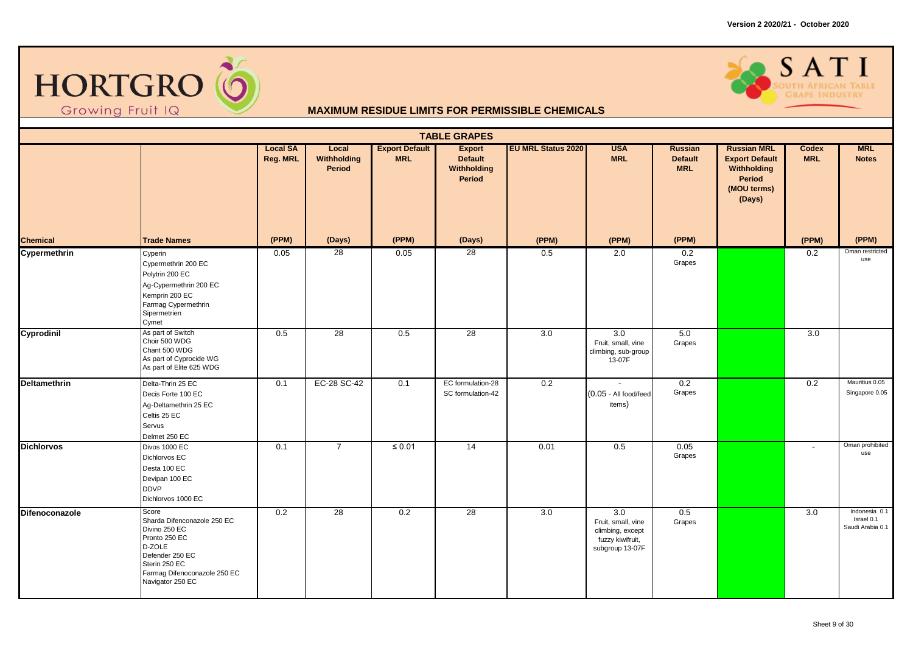



|                     |                                                                                                                                                                          |                             |                                |                                     | <b>TABLE GRAPES</b>                                      |                           |                                                                                      |                                         |                                                                                                      |                            |                                                 |
|---------------------|--------------------------------------------------------------------------------------------------------------------------------------------------------------------------|-----------------------------|--------------------------------|-------------------------------------|----------------------------------------------------------|---------------------------|--------------------------------------------------------------------------------------|-----------------------------------------|------------------------------------------------------------------------------------------------------|----------------------------|-------------------------------------------------|
|                     |                                                                                                                                                                          | <b>Local SA</b><br>Reg. MRL | Local<br>Withholding<br>Period | <b>Export Default</b><br><b>MRL</b> | <b>Export</b><br><b>Default</b><br>Withholding<br>Period | <b>EU MRL Status 2020</b> | <b>USA</b><br><b>MRL</b>                                                             | Russian<br><b>Default</b><br><b>MRL</b> | <b>Russian MRL</b><br><b>Export Default</b><br>Withholding<br><b>Period</b><br>(MOU terms)<br>(Days) | <b>Codex</b><br><b>MRL</b> | <b>MRL</b><br><b>Notes</b>                      |
| <b>Chemical</b>     | <b>Trade Names</b>                                                                                                                                                       | (PPM)                       | (Days)                         | (PPM)                               | (Days)                                                   | (PPM)                     | (PPM)                                                                                | (PPM)                                   |                                                                                                      | (PPM)                      | (PPM)                                           |
| Cypermethrin        | Cyperin<br>Cypermethrin 200 EC<br>Polytrin 200 EC<br>Ag-Cypermethrin 200 EC<br>Kemprin 200 EC<br>Farmag Cypermethrin<br>Sipermetrien<br>Cymet                            | 0.05                        | 28                             | 0.05                                | $\overline{28}$                                          | 0.5                       | 2.0                                                                                  | 0.2<br>Grapes                           |                                                                                                      | 0.2                        | Oman restricted<br>use                          |
| Cyprodinil          | As part of Switch<br>Choir 500 WDG<br>Chant 500 WDG<br>As part of Cyprocide WG<br>As part of Elite 625 WDG                                                               | 0.5                         | $\overline{28}$                | 0.5                                 | $\overline{28}$                                          | $\overline{3.0}$          | $\overline{3.0}$<br>Fruit, small, vine<br>climbing, sub-group<br>13-07F              | 5.0<br>Grapes                           |                                                                                                      | 3.0                        |                                                 |
| <b>Deltamethrin</b> | Delta-Thrin 25 EC<br>Decis Forte 100 EC<br>Ag-Deltamethrin 25 EC<br>Celtis 25 EC<br>Servus<br>Delmet 250 EC                                                              | 0.1                         | EC-28 SC-42                    | 0.1                                 | EC formulation-28<br>SC formulation-42                   | 0.2                       | $\sim$<br>(0.05 - All food/feed<br>items)                                            | 0.2<br>Grapes                           |                                                                                                      | 0.2                        | Mauritius 0.05<br>Singapore 0.05                |
| <b>Dichlorvos</b>   | Divos 1000 EC<br>Dichlorvos EC<br>Desta 100 EC<br>Devipan 100 EC<br><b>DDVP</b><br>Dichlorvos 1000 EC                                                                    | 0.1                         | $\overline{7}$                 | $\leq 0.01$                         | $\overline{14}$                                          | 0.01                      | 0.5                                                                                  | 0.05<br>Grapes                          |                                                                                                      | $\sim$                     | Oman prohibited<br>use                          |
| Difenoconazole      | Score<br>Sharda Difenconazole 250 EC<br>Divino 250 EC<br>Pronto 250 EC<br>D-ZOLE<br>Defender 250 EC<br>Sterin 250 EC<br>Farmag Difenoconazole 250 EC<br>Navigator 250 EC | 0.2                         | $\overline{28}$                | 0.2                                 | 28                                                       | 3.0                       | 3.0<br>Fruit, small, vine<br>climbing, except<br>fuzzy kiwifruit,<br>subgroup 13-07F | 0.5<br>Grapes                           |                                                                                                      | 3.0                        | Indonesia 0.1<br>Israel 0.1<br>Saudi Arabia 0.1 |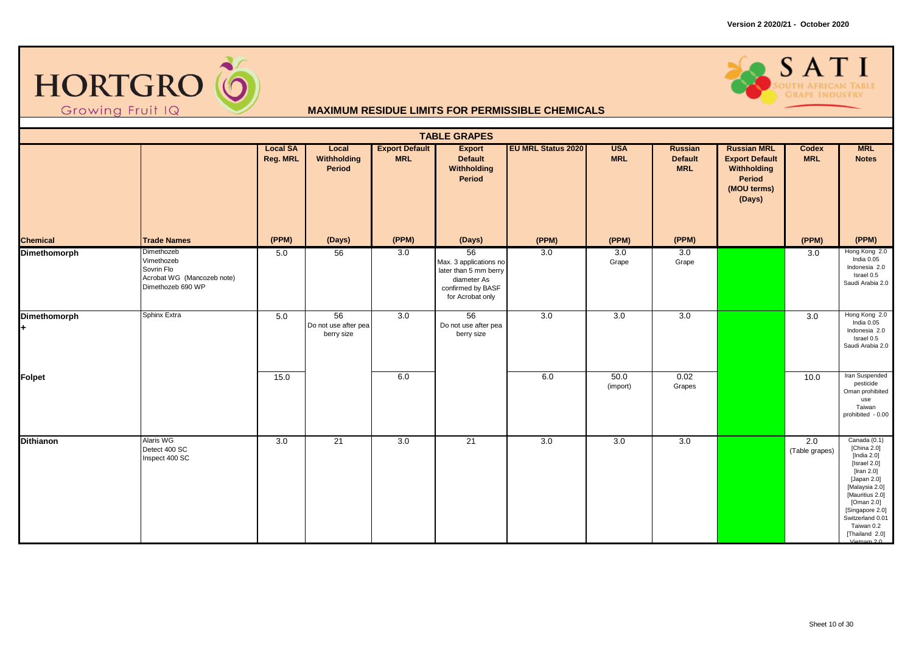



|                     |                                                                                           |                             |                                                       |                                     | <b>TABLE GRAPES</b>                                                                                           |                           |                          |                                                |                                                                                               |                       |                                                                                                                                                                                                                                     |
|---------------------|-------------------------------------------------------------------------------------------|-----------------------------|-------------------------------------------------------|-------------------------------------|---------------------------------------------------------------------------------------------------------------|---------------------------|--------------------------|------------------------------------------------|-----------------------------------------------------------------------------------------------|-----------------------|-------------------------------------------------------------------------------------------------------------------------------------------------------------------------------------------------------------------------------------|
|                     |                                                                                           | <b>Local SA</b><br>Reg. MRL | Local<br>Withholding<br>Period                        | <b>Export Default</b><br><b>MRL</b> | <b>Export</b><br><b>Default</b><br>Withholding<br><b>Period</b>                                               | <b>EU MRL Status 2020</b> | <b>USA</b><br><b>MRL</b> | <b>Russian</b><br><b>Default</b><br><b>MRL</b> | <b>Russian MRL</b><br><b>Export Default</b><br>Withholding<br>Period<br>(MOU terms)<br>(Days) | Codex<br><b>MRL</b>   | <b>MRL</b><br><b>Notes</b>                                                                                                                                                                                                          |
| <b>Chemical</b>     | <b>Trade Names</b>                                                                        | (PPM)                       | (Days)                                                | (PPM)                               | (Days)                                                                                                        | (PPM)                     | (PPM)                    | (PPM)                                          |                                                                                               | (PPM)                 | (PPM)                                                                                                                                                                                                                               |
| <b>Dimethomorph</b> | Dimethozeb<br>Vimethozeb<br>Sovrin Flo<br>Acrobat WG (Mancozeb note)<br>Dimethozeb 690 WP | 5.0                         | 56                                                    | 3.0                                 | 56<br>Max. 3 applications no<br>later than 5 mm berry<br>diameter As<br>confirmed by BASF<br>for Acrobat only | 3.0                       | 3.0<br>Grape             | 3.0<br>Grape                                   |                                                                                               | 3.0                   | Hong Kong 2.0<br>India 0.05<br>Indonesia 2.0<br>Israel 0.5<br>Saudi Arabia 2.0                                                                                                                                                      |
| Dimethomorph        | Sphinx Extra                                                                              | 5.0                         | $\overline{56}$<br>Do not use after pea<br>berry size | 3.0                                 | $\overline{56}$<br>Do not use after pea<br>berry size                                                         | 3.0                       | 3.0                      | 3.0                                            |                                                                                               | 3.0                   | Hong Kong 2.0<br>India 0.05<br>Indonesia 2.0<br>Israel 0.5<br>Saudi Arabia 2.0                                                                                                                                                      |
| Folpet              |                                                                                           | 15.0                        |                                                       | 6.0                                 |                                                                                                               | $6.0\,$                   | 50.0<br>(import)         | 0.02<br>Grapes                                 |                                                                                               | 10.0                  | Iran Suspended<br>pesticide<br>Oman prohibited<br>use<br>Taiwan<br>prohibited - 0.00                                                                                                                                                |
| <b>Dithianon</b>    | Alaris WG<br>Detect 400 SC<br>Inspect 400 SC                                              | 3.0                         | 21                                                    | 3.0                                 | 21                                                                                                            | 3.0                       | 3.0                      | 3.0                                            |                                                                                               | 2.0<br>(Table grapes) | Canada (0.1)<br>[China 2.0]<br>[India 2.0]<br>[Israel 2.0]<br>[Iran $2.0$ ]<br>[Japan 2.0]<br>[Malaysia 2.0]<br>[Mauritius 2.0]<br>[Oman 2.0]<br>[Singapore 2.0]<br>Switzerland 0.01<br>Taiwan 0.2<br>[Thailand 2.0]<br>Vietnam 2.0 |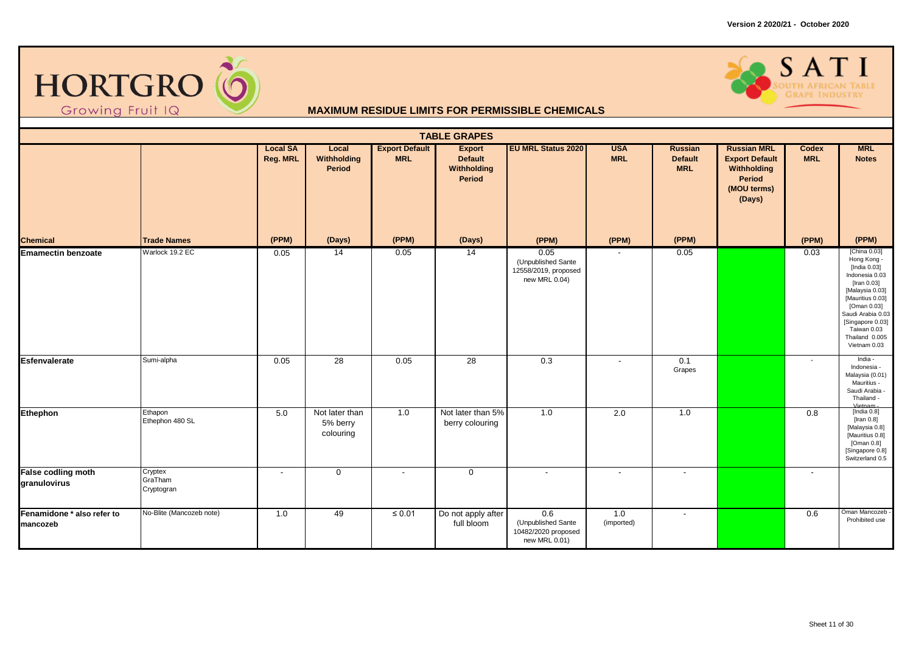



|                                        |                                  |                                    |                                         |                                     | <b>TABLE GRAPES</b>                                      |                                                                     |                          |                                                |                                                                                                      |                     |                                                                                                                                                                                                                              |
|----------------------------------------|----------------------------------|------------------------------------|-----------------------------------------|-------------------------------------|----------------------------------------------------------|---------------------------------------------------------------------|--------------------------|------------------------------------------------|------------------------------------------------------------------------------------------------------|---------------------|------------------------------------------------------------------------------------------------------------------------------------------------------------------------------------------------------------------------------|
|                                        |                                  | <b>Local SA</b><br><b>Reg. MRL</b> | Local<br>Withholding<br>Period          | <b>Export Default</b><br><b>MRL</b> | <b>Export</b><br><b>Default</b><br>Withholding<br>Period | <b>EU MRL Status 2020</b>                                           | <b>USA</b><br><b>MRL</b> | <b>Russian</b><br><b>Default</b><br><b>MRL</b> | <b>Russian MRL</b><br><b>Export Default</b><br>Withholding<br><b>Period</b><br>(MOU terms)<br>(Days) | Codex<br><b>MRL</b> | <b>MRL</b><br><b>Notes</b>                                                                                                                                                                                                   |
| <b>Chemical</b>                        | <b>Trade Names</b>               | (PPM)                              | (Days)                                  | (PPM)                               | (Days)                                                   | (PPM)                                                               | (PPM)                    | (PPM)                                          |                                                                                                      | (PPM)               | (PPM)                                                                                                                                                                                                                        |
| <b>Emamectin benzoate</b>              | Warlock 19.2 EC                  | 0.05                               | 14                                      | 0.05                                | 14                                                       | 0.05<br>(Unpublished Sante<br>12558/2019, proposed<br>new MRL 0.04) |                          | 0.05                                           |                                                                                                      | 0.03                | [China 0.03]<br>Hong Kong -<br>[India 0.03]<br>Indonesia 0.03<br>[Iran 0.03]<br>[Malaysia 0.03]<br>[Mauritius 0.03]<br>[Oman 0.03]<br>Saudi Arabia 0.03<br>[Singapore 0.03]<br>Taiwan 0.03<br>Thailand 0.005<br>Vietnam 0.03 |
| <b>Esfenvalerate</b>                   | Sumi-alpha                       | 0.05                               | $\overline{28}$                         | 0.05                                | 28                                                       | $\overline{0.3}$                                                    | $\blacksquare$           | 0.1<br>Grapes                                  |                                                                                                      | $\sim$              | India -<br>Indonesia -<br>Malaysia (0.01)<br>Mauritius -<br>Saudi Arabia -<br>Thailand -<br>Vietnam                                                                                                                          |
| Ethephon                               | Ethapon<br>Ethephon 480 SL       | 5.0                                | Not later than<br>5% berry<br>colouring | 1.0                                 | Not later than 5%<br>berry colouring                     | 1.0                                                                 | 2.0                      | 1.0                                            |                                                                                                      | 0.8                 | [India 0.8]<br>[Iran $0.8$ ]<br>[Malaysia 0.8]<br>[Mauritius 0.8]<br>[Oman $0.8$ ]<br>[Singapore 0.8]<br>Switzerland 0.5                                                                                                     |
| False codling moth<br>granulovirus     | Cryptex<br>GraTham<br>Cryptogran | $\blacksquare$                     | $\mathbf 0$                             | $\overline{\phantom{a}}$            | $\mathbf 0$                                              | $\overline{\phantom{a}}$                                            | $\blacksquare$           | $\sim$                                         |                                                                                                      | $\sim$              |                                                                                                                                                                                                                              |
| Fenamidone * also refer to<br>mancozeb | No-Blite (Mancozeb note)         | 1.0                                | 49                                      | $\leq 0.01$                         | Do not apply after<br>full bloom                         | 0.6<br>(Unpublished Sante<br>10482/2020 proposed<br>new MRL 0.01)   | 1.0<br>(imported)        | $\overline{\phantom{a}}$                       |                                                                                                      | 0.6                 | Oman Mancozeb<br>Prohibited use                                                                                                                                                                                              |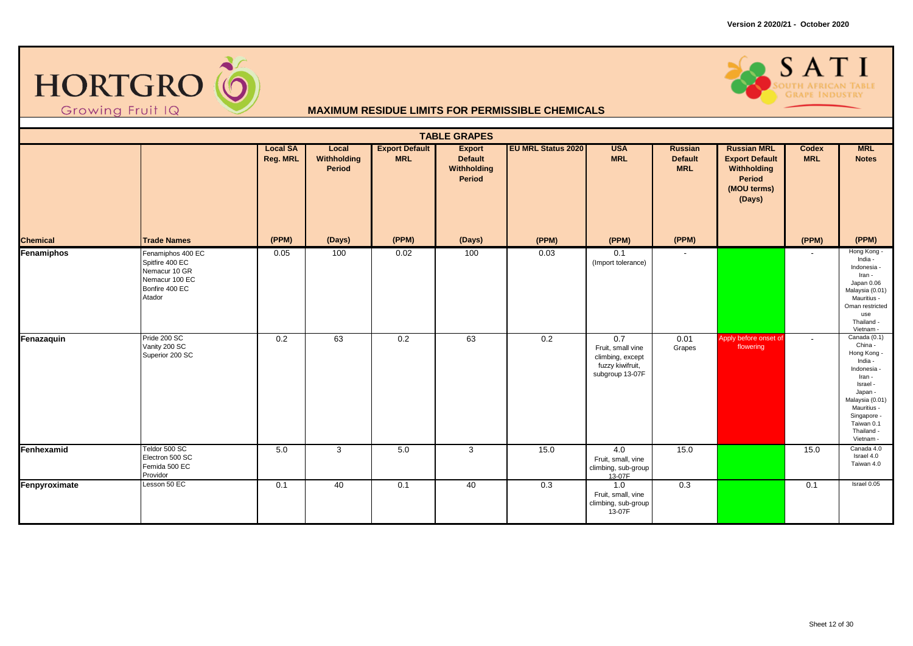



|                 |                                                                                                     |                             |                                       |                                     | <b>TABLE GRAPES</b>                                      |                           |                                                                                     |                                                |                                                                                               |                     |                                                                                                                                                                                               |
|-----------------|-----------------------------------------------------------------------------------------------------|-----------------------------|---------------------------------------|-------------------------------------|----------------------------------------------------------|---------------------------|-------------------------------------------------------------------------------------|------------------------------------------------|-----------------------------------------------------------------------------------------------|---------------------|-----------------------------------------------------------------------------------------------------------------------------------------------------------------------------------------------|
|                 |                                                                                                     | <b>Local SA</b><br>Reg. MRL | Local<br>Withholding<br><b>Period</b> | <b>Export Default</b><br><b>MRL</b> | <b>Export</b><br><b>Default</b><br>Withholding<br>Period | <b>EU MRL Status 2020</b> | <b>USA</b><br><b>MRL</b>                                                            | <b>Russian</b><br><b>Default</b><br><b>MRL</b> | <b>Russian MRL</b><br><b>Export Default</b><br>Withholding<br>Period<br>(MOU terms)<br>(Days) | Codex<br><b>MRL</b> | <b>MRL</b><br><b>Notes</b>                                                                                                                                                                    |
| <b>Chemical</b> | <b>Trade Names</b>                                                                                  | (PPM)                       | (Days)                                | (PPM)                               | (Days)                                                   | (PPM)                     | (PPM)                                                                               | (PPM)                                          |                                                                                               | (PPM)               | (PPM)                                                                                                                                                                                         |
| Fenamiphos      | Fenamiphos 400 EC<br>Spitfire 400 EC<br>Nemacur 10 GR<br>Nemacur 100 EC<br>Bonfire 400 EC<br>Atador | 0.05                        | 100                                   | 0.02                                | 100                                                      | 0.03                      | 0.1<br>(Import tolerance)                                                           |                                                |                                                                                               |                     | Hong Kong -<br>India -<br>Indonesia -<br>Iran -<br>Japan 0.06<br>Malaysia (0.01)<br>Mauritius -<br>Oman restricted<br>use<br>Thailand -<br>Vietnam -                                          |
| Fenazaquin      | Pride 200 SC<br>Vanity 200 SC<br>Superior 200 SC                                                    | 0.2                         | 63                                    | 0.2                                 | 63                                                       | $\overline{0.2}$          | 0.7<br>Fruit, small vine<br>climbing, except<br>fuzzy kiwifruit,<br>subgroup 13-07F | 0.01<br>Grapes                                 | Apply before onset of<br>flowering                                                            | $\sim$              | Canada $(0.1)$<br>China -<br>Hong Kong -<br>India -<br>Indonesia -<br>Iran -<br>Israel -<br>Japan -<br>Malaysia (0.01)<br>Mauritius -<br>Singapore -<br>Taiwan 0.1<br>Thailand -<br>Vietnam - |
| Fenhexamid      | Teldor 500 SC<br>Electron 500 SC<br>Femida 500 EC<br>Providor                                       | 5.0                         | 3                                     | 5.0                                 | 3                                                        | 15.0                      | 4.0<br>Fruit, small, vine<br>climbing, sub-group<br>13-07F                          | 15.0                                           |                                                                                               | 15.0                | Canada 4.0<br>Israel 4.0<br>Taiwan 4.0                                                                                                                                                        |
| Fenpyroximate   | Lesson 50 EC                                                                                        | 0.1                         | 40                                    | 0.1                                 | 40                                                       | 0.3                       | 1.0<br>Fruit, small, vine<br>climbing, sub-group<br>13-07F                          | 0.3                                            |                                                                                               | 0.1                 | Israel 0.05                                                                                                                                                                                   |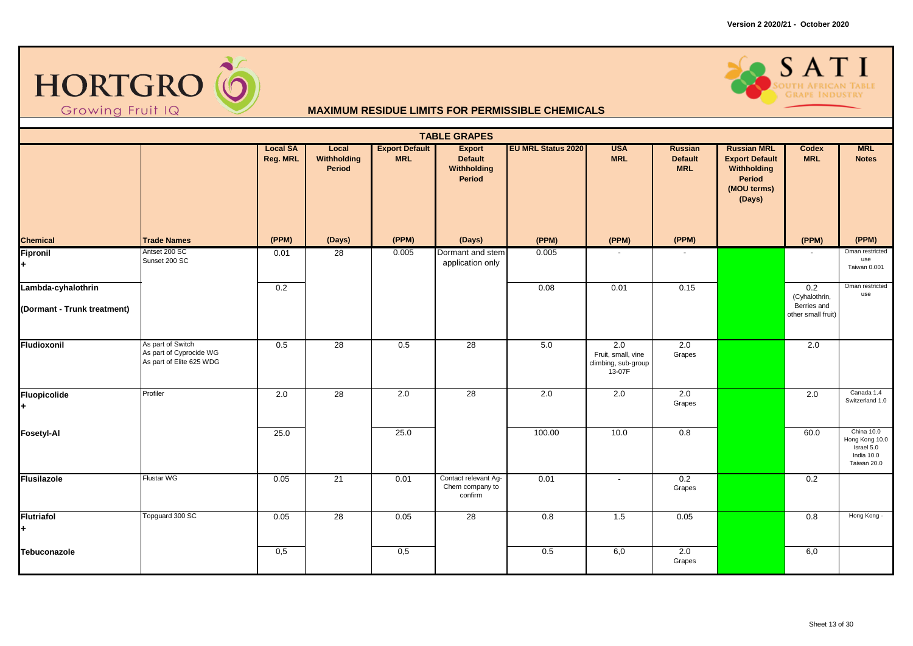



|                                                   |                                                                          |                             |                                |                                     | <b>TABLE GRAPES</b>                                      |                           |                                                            |                                         |                                                                                               |                                                                        |                                                                         |
|---------------------------------------------------|--------------------------------------------------------------------------|-----------------------------|--------------------------------|-------------------------------------|----------------------------------------------------------|---------------------------|------------------------------------------------------------|-----------------------------------------|-----------------------------------------------------------------------------------------------|------------------------------------------------------------------------|-------------------------------------------------------------------------|
|                                                   |                                                                          | <b>Local SA</b><br>Reg. MRL | Local<br>Withholding<br>Period | <b>Export Default</b><br><b>MRL</b> | <b>Export</b><br><b>Default</b><br>Withholding<br>Period | <b>EU MRL Status 2020</b> | <b>USA</b><br><b>MRL</b>                                   | Russian<br><b>Default</b><br><b>MRL</b> | <b>Russian MRL</b><br><b>Export Default</b><br>Withholding<br>Period<br>(MOU terms)<br>(Days) | Codex<br><b>MRL</b>                                                    | <b>MRL</b><br><b>Notes</b>                                              |
| <b>Chemical</b>                                   | <b>Trade Names</b>                                                       | (PPM)                       | (Days)                         | (PPM)                               | (Days)                                                   | (PPM)                     | (PPM)                                                      | (PPM)                                   |                                                                                               | (PPM)                                                                  | (PPM)                                                                   |
| <b>Fipronil</b>                                   | Antset 200 SC<br>Sunset 200 SC                                           | 0.01                        | 28                             | 0.005                               | Dormant and stem<br>application only                     | 0.005                     |                                                            |                                         |                                                                                               |                                                                        | Oman restricted<br>use<br>Taiwan 0.001                                  |
| Lambda-cyhalothrin<br>(Dormant - Trunk treatment) |                                                                          | 0.2                         |                                |                                     |                                                          | 0.08                      | 0.01                                                       | 0.15                                    |                                                                                               | $\overline{0.2}$<br>(Cyhalothrin,<br>Berries and<br>other small fruit) | Oman restricted<br>use                                                  |
| Fludioxonil                                       | As part of Switch<br>As part of Cyprocide WG<br>As part of Elite 625 WDG | 0.5                         | 28                             | 0.5                                 | 28                                                       | 5.0                       | 2.0<br>Fruit, small, vine<br>climbing, sub-group<br>13-07F | 2.0<br>Grapes                           |                                                                                               | 2.0                                                                    |                                                                         |
| Fluopicolide                                      | Profiler                                                                 | 2.0                         | 28                             | 2.0                                 | 28                                                       | 2.0                       | 2.0                                                        | 2.0<br>Grapes                           |                                                                                               | 2.0                                                                    | Canada 1.4<br>Switzerland 1.0                                           |
| <b>Fosetyl-Al</b>                                 |                                                                          | 25.0                        |                                | 25.0                                |                                                          | 100.00                    | 10.0                                                       | 0.8                                     |                                                                                               | 60.0                                                                   | China 10.0<br>Hong Kong 10.0<br>Israel 5.0<br>India 10.0<br>Taiwan 20.0 |
| <b>Flusilazole</b>                                | <b>Flustar WG</b>                                                        | 0.05                        | 21                             | 0.01                                | Contact relevant Ag-<br>Chem company to<br>confirm       | 0.01                      | $\overline{\phantom{a}}$                                   | 0.2<br>Grapes                           |                                                                                               | 0.2                                                                    |                                                                         |
| <b>Flutriafol</b>                                 | Topguard 300 SC                                                          | 0.05                        | 28                             | 0.05                                | $\overline{28}$                                          | 0.8                       | 1.5                                                        | 0.05                                    |                                                                                               | 0.8                                                                    | Hong Kong -                                                             |
| Tebuconazole                                      |                                                                          | 0,5                         |                                | 0,5                                 |                                                          | 0.5                       | 6,0                                                        | 2.0<br>Grapes                           |                                                                                               | 6,0                                                                    |                                                                         |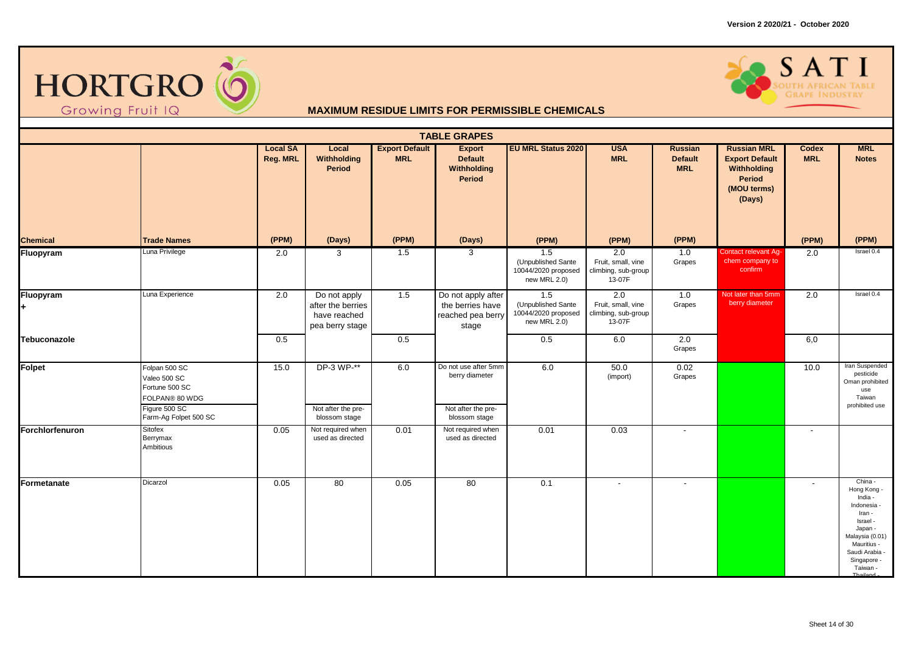



|                 |                                                                                                             |                             |                                                                      |                                     | <b>TABLE GRAPES</b>                                                           |                                                                  |                                                            |                                                |                                                                                                             |                          |                                                                                                                                                                |
|-----------------|-------------------------------------------------------------------------------------------------------------|-----------------------------|----------------------------------------------------------------------|-------------------------------------|-------------------------------------------------------------------------------|------------------------------------------------------------------|------------------------------------------------------------|------------------------------------------------|-------------------------------------------------------------------------------------------------------------|--------------------------|----------------------------------------------------------------------------------------------------------------------------------------------------------------|
|                 |                                                                                                             | <b>Local SA</b><br>Reg. MRL | Local<br>Withholding<br>Period                                       | <b>Export Default</b><br><b>MRL</b> | <b>Export</b><br><b>Default</b><br>Withholding<br>Period                      | <b>EU MRL Status 2020</b>                                        | <b>USA</b><br><b>MRL</b>                                   | <b>Russian</b><br><b>Default</b><br><b>MRL</b> | <b>Russian MRL</b><br><b>Export Default</b><br><b>Withholding</b><br><b>Period</b><br>(MOU terms)<br>(Days) | Codex<br><b>MRL</b>      | <b>MRL</b><br><b>Notes</b>                                                                                                                                     |
| <b>Chemical</b> | <b>Trade Names</b>                                                                                          | (PPM)                       | (Days)                                                               | (PPM)                               | (Days)                                                                        | (PPM)                                                            | (PPM)                                                      | (PPM)                                          |                                                                                                             | (PPM)                    | (PPM)                                                                                                                                                          |
| Fluopyram       | Luna Privilege                                                                                              | 2.0                         | 3                                                                    | 1.5                                 | 3                                                                             | 1.5<br>(Unpublished Sante<br>10044/2020 proposed<br>new MRL 2.0) | 2.0<br>Fruit, small, vine<br>climbing, sub-group<br>13-07F | 1.0<br>Grapes                                  | Contact relevant Ag-<br>chem company to<br>confirm                                                          | $\overline{2.0}$         | Israel 0.4                                                                                                                                                     |
| Fluopyram       | Luna Experience                                                                                             | 2.0                         | Do not apply<br>after the berries<br>have reached<br>pea berry stage | 1.5                                 | Do not apply after<br>the berries have<br>reached pea berry<br>stage          | 1.5<br>(Unpublished Sante<br>10044/2020 proposed<br>new MRL 2.0) | 2.0<br>Fruit, small, vine<br>climbing, sub-group<br>13-07F | 1.0<br>Grapes                                  | Not later than 5mm<br>berry diameter                                                                        | 2.0                      | Israel 0.4                                                                                                                                                     |
| Tebuconazole    |                                                                                                             | 0.5                         |                                                                      | 0.5                                 |                                                                               | 0.5                                                              | 6.0                                                        | 2.0<br>Grapes                                  |                                                                                                             | 6,0                      |                                                                                                                                                                |
| Folpet          | Folpan 500 SC<br>Valeo 500 SC<br>Fortune 500 SC<br>FOLPAN® 80 WDG<br>Figure 500 SC<br>Farm-Ag Folpet 500 SC | 15.0                        | DP-3 WP-**<br>Not after the pre-<br>blossom stage                    | 6.0                                 | Do not use after 5mm<br>berry diameter<br>Not after the pre-<br>blossom stage | 6.0                                                              | 50.0<br>(import)                                           | 0.02<br>Grapes                                 |                                                                                                             | 10.0                     | Iran Suspended<br>pesticide<br>Oman prohibited<br>use<br>Taiwan<br>prohibited use                                                                              |
| Forchlorfenuron | Sitofex<br>Berrymax<br>Ambitious                                                                            | 0.05                        | Not required when<br>used as directed                                | 0.01                                | Not required when<br>used as directed                                         | 0.01                                                             | 0.03                                                       |                                                |                                                                                                             | $\overline{\phantom{a}}$ |                                                                                                                                                                |
| Formetanate     | Dicarzol                                                                                                    | 0.05                        | 80                                                                   | 0.05                                | 80                                                                            | 0.1                                                              |                                                            |                                                |                                                                                                             | $\overline{\phantom{a}}$ | China -<br>Hong Kong -<br>India -<br>Indonesia -<br>Iran -<br>Israel -<br>Japan -<br>Malaysia (0.01)<br>Mauritius -<br>Saudi Arabia<br>Singapore -<br>Taiwan - |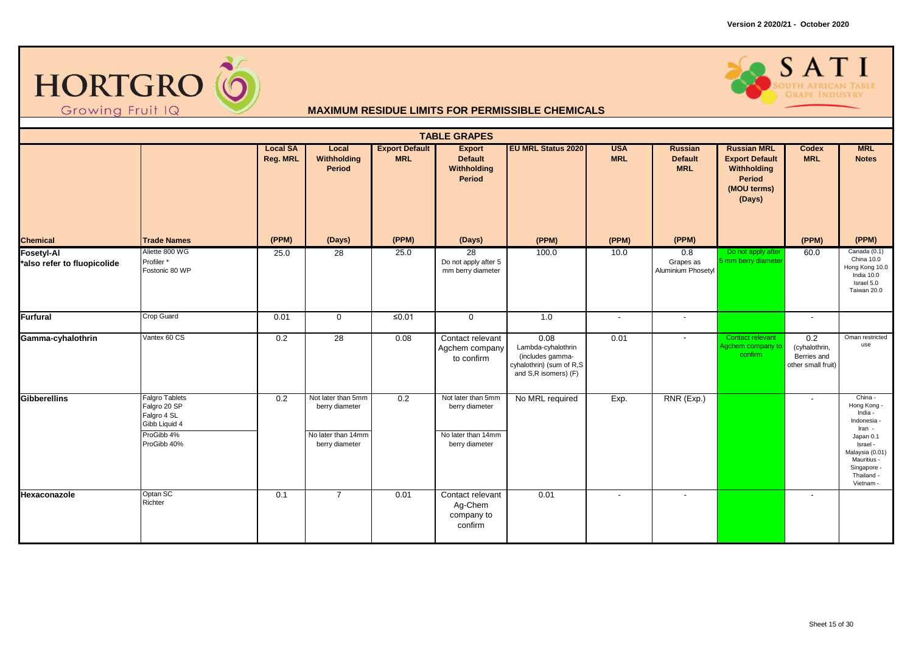



|                                                 |                                                                                                    |                             |                                                                              |                                     | <b>TABLE GRAPES</b>                                                          |                                                                                                    |                          |                                                |                                                                                               |                                                           |                                                                                                                                                               |
|-------------------------------------------------|----------------------------------------------------------------------------------------------------|-----------------------------|------------------------------------------------------------------------------|-------------------------------------|------------------------------------------------------------------------------|----------------------------------------------------------------------------------------------------|--------------------------|------------------------------------------------|-----------------------------------------------------------------------------------------------|-----------------------------------------------------------|---------------------------------------------------------------------------------------------------------------------------------------------------------------|
|                                                 |                                                                                                    | <b>Local SA</b><br>Reg. MRL | Local<br>Withholding<br>Period                                               | <b>Export Default</b><br><b>MRL</b> | <b>Export</b><br><b>Default</b><br>Withholding<br>Period                     | <b>EU MRL Status 2020</b>                                                                          | <b>USA</b><br><b>MRL</b> | <b>Russian</b><br><b>Default</b><br><b>MRL</b> | <b>Russian MRL</b><br><b>Export Default</b><br>Withholding<br>Period<br>(MOU terms)<br>(Days) | <b>Codex</b><br><b>MRL</b>                                | <b>MRL</b><br><b>Notes</b>                                                                                                                                    |
| <b>Chemical</b>                                 | <b>Trade Names</b>                                                                                 | (PPM)                       | (Days)                                                                       | (PPM)                               | (Days)                                                                       | (PPM)                                                                                              | (PPM)                    | (PPM)                                          |                                                                                               | (PPM)                                                     | (PPM)                                                                                                                                                         |
| <b>Fosetyl-Al</b><br>also refer to fluopicolide | Aliette 800 WG<br>Profiler*<br>Fostonic 80 WP                                                      | 25.0                        | $\overline{28}$                                                              | 25.0                                | 28<br>Do not apply after 5<br>mm berry diameter                              | 100.0                                                                                              | 10.0                     | 0.8<br>Grapes as<br>Aluminium Phosetyl         | Do not apply after<br>5 mm berry diameter                                                     | 60.0                                                      | Canada (0.1)<br>China 10.0<br>Hong Kong 10.0<br>India 10.0<br>Israel 5.0<br>Taiwan 20.0                                                                       |
| <b>Furfural</b>                                 | Crop Guard                                                                                         | 0.01                        | $\mathbf 0$                                                                  | ≤ $0.01$                            | $\mathbf 0$                                                                  | 1.0                                                                                                |                          | $\overline{\phantom{a}}$                       |                                                                                               |                                                           |                                                                                                                                                               |
| Gamma-cyhalothrin                               | Vantex 60 CS                                                                                       | 0.2                         | 28                                                                           | 0.08                                | Contact relevant<br>Agchem company<br>to confirm                             | 0.08<br>Lambda-cyhalothrin<br>(includes gamma-<br>cyhalothrin) (sum of R,S<br>and S,R isomers) (F) | 0.01                     | $\blacksquare$                                 | Contact relevant<br>Agchem company to<br>confirm                                              | 0.2<br>(cyhalothrin,<br>Berries and<br>other small fruit) | Oman restricted<br>use                                                                                                                                        |
| <b>Gibberellins</b>                             | <b>Falgro Tablets</b><br>Falgro 20 SP<br>Falgro 4 SL<br>Gibb Liquid 4<br>ProGibb 4%<br>ProGibb 40% | 0.2                         | Not later than 5mm<br>berry diameter<br>No later than 14mm<br>berry diameter | $\overline{0.2}$                    | Not later than 5mm<br>berry diameter<br>No later than 14mm<br>berry diameter | No MRL required                                                                                    | Exp.                     | RNR (Exp.)                                     |                                                                                               |                                                           | China -<br>Hong Kong -<br>India -<br>Indonesia<br>Iran -<br>Japan 0.1<br>Israel -<br>Malaysia (0.01)<br>Mauritius -<br>Singapore -<br>Thailand -<br>Vietnam - |
| Hexaconazole                                    | Optan SC<br>Richter                                                                                | 0.1                         | $\overline{7}$                                                               | 0.01                                | Contact relevant<br>Ag-Chem<br>company to<br>confirm                         | 0.01                                                                                               |                          | $\blacksquare$                                 |                                                                                               | $\overline{\phantom{a}}$                                  |                                                                                                                                                               |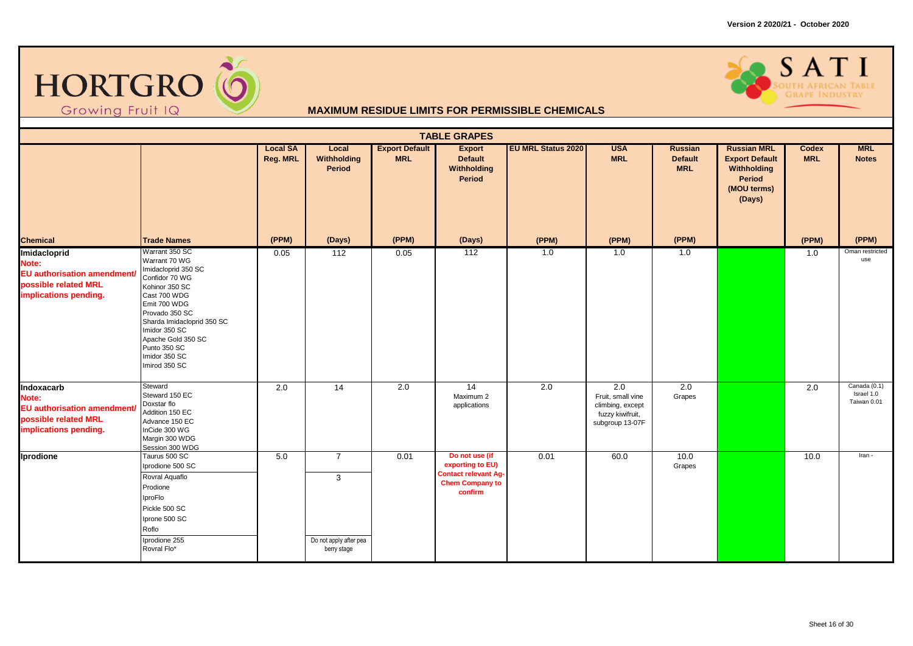



|                                                                                                              |                                                                                                                                                                                                                                                                     |                                    |                                                              |                                     | <b>TABLE GRAPES</b>                                                                                    |                           |                                                                                                  |                                         |                                                                                               |                            |                                           |
|--------------------------------------------------------------------------------------------------------------|---------------------------------------------------------------------------------------------------------------------------------------------------------------------------------------------------------------------------------------------------------------------|------------------------------------|--------------------------------------------------------------|-------------------------------------|--------------------------------------------------------------------------------------------------------|---------------------------|--------------------------------------------------------------------------------------------------|-----------------------------------------|-----------------------------------------------------------------------------------------------|----------------------------|-------------------------------------------|
|                                                                                                              |                                                                                                                                                                                                                                                                     | <b>Local SA</b><br><b>Reg. MRL</b> | Local<br>Withholding<br>Period                               | <b>Export Default</b><br><b>MRL</b> | <b>Export</b><br><b>Default</b><br>Withholding<br><b>Period</b>                                        | <b>EU MRL Status 2020</b> | <b>USA</b><br><b>MRL</b>                                                                         | Russian<br><b>Default</b><br><b>MRL</b> | <b>Russian MRL</b><br><b>Export Default</b><br>Withholding<br>Period<br>(MOU terms)<br>(Days) | <b>Codex</b><br><b>MRL</b> | <b>MRL</b><br><b>Notes</b>                |
| <b>Chemical</b>                                                                                              | <b>Trade Names</b>                                                                                                                                                                                                                                                  | (PPM)                              | (Days)                                                       | (PPM)                               | (Days)                                                                                                 | (PPM)                     | (PPM)                                                                                            | (PPM)                                   |                                                                                               | (PPM)                      | (PPM)                                     |
| Imidacloprid<br>Note:<br><b>EU authorisation amendment/</b><br>possible related MRL<br>implications pending. | Warrant 350 SC<br>Warrant 70 WG<br>Imidacloprid 350 SC<br>Confidor 70 WG<br>Kohinor 350 SC<br>Cast 700 WDG<br>Emit 700 WDG<br>Provado 350 SC<br>Sharda Imidacloprid 350 SC<br>Imidor 350 SC<br>Apache Gold 350 SC<br>Punto 350 SC<br>Imidor 350 SC<br>Imirod 350 SC | 0.05                               | 112                                                          | 0.05                                | 112                                                                                                    | 1.0                       | 1.0                                                                                              | 1.0                                     |                                                                                               | 1.0                        | Oman restricted<br>use                    |
| Indoxacarb<br>Note:<br><b>EU authorisation amendment/</b><br>possible related MRL<br>implications pending.   | Steward<br>Steward 150 EC<br>Doxstar flo<br>Addition 150 EC<br>Advance 150 EC<br>InCide 300 WG<br>Margin 300 WDG<br>Session 300 WDG                                                                                                                                 | 2.0                                | 14                                                           | $\overline{2.0}$                    | $\overline{14}$<br>Maximum 2<br>applications                                                           | $\overline{2.0}$          | $\overline{2.0}$<br>Fruit, small vine<br>climbing, except<br>fuzzy kiwifruit,<br>subgroup 13-07F | 2.0<br>Grapes                           |                                                                                               | 2.0                        | Canada (0.1)<br>Israel 1.0<br>Taiwan 0.01 |
| Iprodione                                                                                                    | Taurus 500 SC<br>Iprodione 500 SC<br>Rovral Aquaflo<br>Prodione<br>IproFlo<br>Pickle 500 SC<br>Iprone 500 SC<br>Roflo<br>Iprodione 255<br>Rovral Flo*                                                                                                               | 5.0                                | $\overline{7}$<br>3<br>Do not apply after pea<br>berry stage | 0.01                                | Do not use (if<br>exporting to EU)<br><b>Contact relevant Ag-</b><br><b>Chem Company to</b><br>confirm | 0.01                      | 60.0                                                                                             | 10.0<br>Grapes                          |                                                                                               | 10.0                       | Iran -                                    |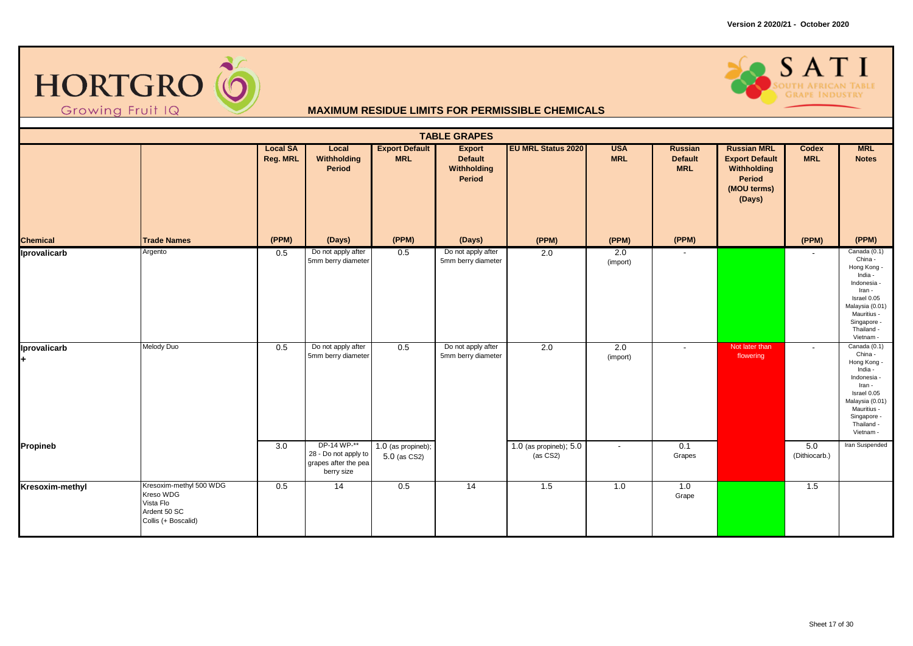



|                              |                                                                                          |                             |                                                                                      |                                                 | <b>TABLE GRAPES</b>                                                                  |                                    |                          |                                                |                                                                                                      |                          |                                                                                                                                                                                                  |
|------------------------------|------------------------------------------------------------------------------------------|-----------------------------|--------------------------------------------------------------------------------------|-------------------------------------------------|--------------------------------------------------------------------------------------|------------------------------------|--------------------------|------------------------------------------------|------------------------------------------------------------------------------------------------------|--------------------------|--------------------------------------------------------------------------------------------------------------------------------------------------------------------------------------------------|
|                              |                                                                                          | <b>Local SA</b><br>Reg. MRL | Local<br>Withholding<br><b>Period</b>                                                | <b>Export Default</b><br><b>MRL</b>             | <b>Export</b><br><b>Default</b><br>Withholding<br>Period                             | <b>EU MRL Status 2020</b>          | <b>USA</b><br><b>MRL</b> | <b>Russian</b><br><b>Default</b><br><b>MRL</b> | <b>Russian MRL</b><br><b>Export Default</b><br>Withholding<br><b>Period</b><br>(MOU terms)<br>(Days) | Codex<br><b>MRL</b>      | <b>MRL</b><br><b>Notes</b>                                                                                                                                                                       |
| <b>Chemical</b>              | <b>Trade Names</b>                                                                       | (PPM)                       | (Days)                                                                               | (PPM)                                           | (Days)                                                                               | (PPM)                              | (PPM)                    | (PPM)                                          |                                                                                                      | (PPM)                    | (PPM)                                                                                                                                                                                            |
| Iprovalicarb<br>Iprovalicarb | Argento<br>Melody Duo                                                                    | 0.5<br>0.5                  | Do not apply after<br>5mm berry diameter<br>Do not apply after<br>5mm berry diameter | 0.5<br>0.5                                      | Do not apply after<br>5mm berry diameter<br>Do not apply after<br>5mm berry diameter | 2.0<br>2.0                         | 2.0<br>(import)<br>2.0   | $\overline{\phantom{a}}$                       | Not later than<br>flowering                                                                          | $\overline{\phantom{a}}$ | Canada (0.1)<br>China -<br>Hong Kong -<br>India -<br>Indonesia -<br>Iran -<br>Israel 0.05<br>Malaysia (0.01)<br>Mauritius -<br>Singapore -<br>Thailand -<br>Vietnam -<br>Canada (0.1)<br>China - |
|                              |                                                                                          |                             |                                                                                      |                                                 |                                                                                      |                                    | (import)                 |                                                |                                                                                                      |                          | Hong Kong -<br>India -<br>Indonesia -<br>Iran -<br>Israel 0.05<br>Malaysia (0.01)<br>Mauritius -<br>Singapore -<br>Thailand -<br>Vietnam -                                                       |
| <b>Propineb</b>              |                                                                                          | 3.0                         | DP-14 WP-**<br>28 - Do not apply to<br>grapes after the pea<br>berry size            | $\overline{1.0}$ (as propineb);<br>5.0 (as CS2) |                                                                                      | 1.0 (as propineb); 5.0<br>(as CS2) | $\overline{\phantom{a}}$ | 0.1<br>Grapes                                  |                                                                                                      | 5.0<br>(Dithiocarb.)     | Iran Suspended                                                                                                                                                                                   |
| Kresoxim-methyl              | Kresoxim-methyl 500 WDG<br>Kreso WDG<br>Vista Flo<br>Ardent 50 SC<br>Collis (+ Boscalid) | 0.5                         | 14                                                                                   | 0.5                                             | $\overline{14}$                                                                      | 1.5                                | 1.0                      | 1.0<br>Grape                                   |                                                                                                      | 1.5                      |                                                                                                                                                                                                  |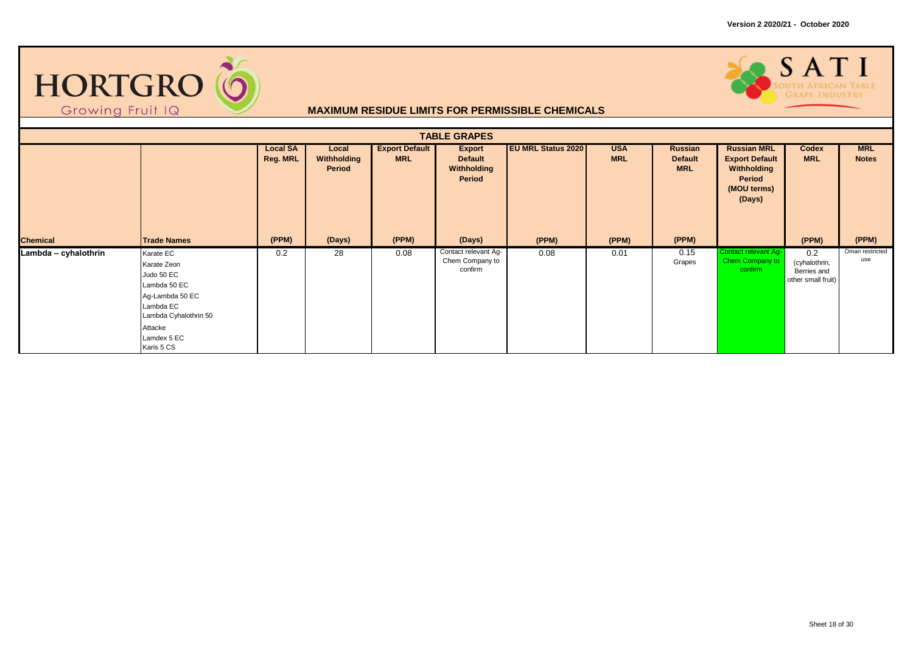



| <b>TABLE GRAPES</b>  |                                                                                                                                                         |                                    |                                |                                     |                                                          |                           |                          |                                         |                                                                                               |                                                           |                            |  |  |
|----------------------|---------------------------------------------------------------------------------------------------------------------------------------------------------|------------------------------------|--------------------------------|-------------------------------------|----------------------------------------------------------|---------------------------|--------------------------|-----------------------------------------|-----------------------------------------------------------------------------------------------|-----------------------------------------------------------|----------------------------|--|--|
|                      |                                                                                                                                                         |                                    |                                |                                     |                                                          |                           |                          |                                         |                                                                                               |                                                           |                            |  |  |
|                      |                                                                                                                                                         | <b>Local SA</b><br><b>Reg. MRL</b> | Local<br>Withholding<br>Period | <b>Export Default</b><br><b>MRL</b> | <b>Export</b><br><b>Default</b><br>Withholding<br>Period | <b>EU MRL Status 2020</b> | <b>USA</b><br><b>MRL</b> | Russian<br><b>Default</b><br><b>MRL</b> | <b>Russian MRL</b><br><b>Export Default</b><br>Withholding<br>Period<br>(MOU terms)<br>(Days) | Codex<br><b>MRL</b>                                       | <b>MRL</b><br><b>Notes</b> |  |  |
| <b>Chemical</b>      | <b>Trade Names</b>                                                                                                                                      | (PPM)                              | (Days)                         | (PPM)                               | (Days)                                                   | (PPM)                     | (PPM)                    | (PPM)                                   |                                                                                               | (PPM)                                                     | (PPM)                      |  |  |
| Lambda - cyhalothrin | Karate EC<br>Karate Zeon<br>Judo 50 EC<br>Lambda 50 EC<br>Ag-Lambda 50 EC<br>Lambda EC<br>Lambda Cyhalothrin 50<br>Attacke<br>Lamdex 5 EC<br>Karis 5 CS | 0.2                                | 28                             | 0.08                                | Contact relevant Ag-<br>Chem Company to<br>confirm       | 0.08                      | 0.01                     | 0.15<br>Grapes                          | Contact relevant Ag-<br>Chem Company to<br>confirm                                            | 0.2<br>(cyhalothrin,<br>Berries and<br>other small fruit) | Oman restricted<br>use     |  |  |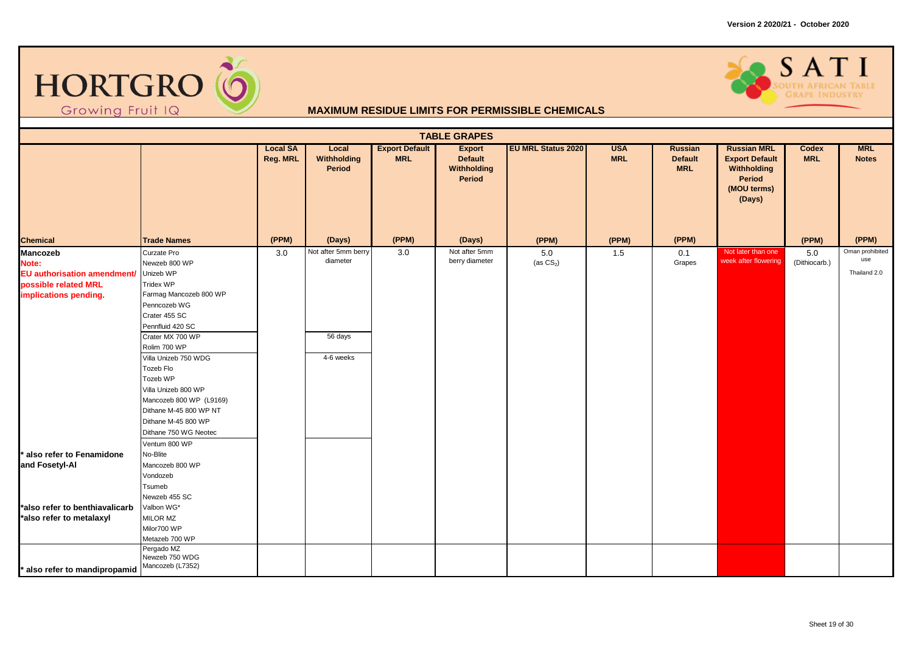



|                                                                                                   | <b>TABLE GRAPES</b>                                                                                                                                                                                                                                                                                                                                                     |                             |                                                         |                                     |                                                          |                           |                          |                                                |                                                                                                      |                      |                                        |  |  |
|---------------------------------------------------------------------------------------------------|-------------------------------------------------------------------------------------------------------------------------------------------------------------------------------------------------------------------------------------------------------------------------------------------------------------------------------------------------------------------------|-----------------------------|---------------------------------------------------------|-------------------------------------|----------------------------------------------------------|---------------------------|--------------------------|------------------------------------------------|------------------------------------------------------------------------------------------------------|----------------------|----------------------------------------|--|--|
|                                                                                                   |                                                                                                                                                                                                                                                                                                                                                                         | <b>Local SA</b><br>Reg. MRL | Local<br>Withholding<br>Period                          | <b>Export Default</b><br><b>MRL</b> | <b>Export</b><br><b>Default</b><br>Withholding<br>Period | <b>EU MRL Status 2020</b> | <b>USA</b><br><b>MRL</b> | <b>Russian</b><br><b>Default</b><br><b>MRL</b> | <b>Russian MRL</b><br><b>Export Default</b><br>Withholding<br><b>Period</b><br>(MOU terms)<br>(Days) | Codex<br><b>MRL</b>  | <b>MRL</b><br><b>Notes</b>             |  |  |
| <b>Chemical</b>                                                                                   | <b>Trade Names</b>                                                                                                                                                                                                                                                                                                                                                      | (PPM)                       | (Days)                                                  | (PPM)                               | (Days)                                                   | (PPM)                     | (PPM)                    | (PPM)                                          |                                                                                                      | (PPM)                | (PPM)                                  |  |  |
| Mancozeb<br>Note:<br>EU authorisation amendment/<br>possible related MRL<br>implications pending. | Curzate Pro<br>Newzeb 800 WP<br>Unizeb WP<br>Tridex WP<br>Farmag Mancozeb 800 WP<br>Penncozeb WG<br>Crater 455 SC<br>Pennfluid 420 SC<br>Crater MX 700 WP<br>Rolim 700 WP<br>Villa Unizeb 750 WDG<br>Tozeb Flo<br>Tozeb WP<br>Villa Unizeb 800 WP<br>Mancozeb 800 WP (L9169)<br>Dithane M-45 800 WP NT<br>Dithane M-45 800 WP<br>Dithane 750 WG Neotec<br>Ventum 800 WP | 3.0                         | Not after 5mm berry<br>diameter<br>56 days<br>4-6 weeks | 3.0                                 | Not after 5mm<br>berry diameter                          | 5.0<br>(as $CS2$ )        | 1.5                      | 0.1<br>Grapes                                  | Not later than one<br>week after flowering                                                           | 5.0<br>(Dithiocarb.) | Oman prohibited<br>use<br>Thailand 2.0 |  |  |
| also refer to Fenamidone<br>and Fosetyl-Al                                                        | No-Blite<br>Mancozeb 800 WP<br>Vondozeb<br>Tsumeb<br>Newzeb 455 SC                                                                                                                                                                                                                                                                                                      |                             |                                                         |                                     |                                                          |                           |                          |                                                |                                                                                                      |                      |                                        |  |  |
| *also refer to benthiavalicarb<br>*also refer to metalaxyl                                        | Valbon WG*<br>MILOR MZ<br>Milor700 WP<br>Metazeb 700 WP                                                                                                                                                                                                                                                                                                                 |                             |                                                         |                                     |                                                          |                           |                          |                                                |                                                                                                      |                      |                                        |  |  |
| also refer to mandipropamid                                                                       | Pergado MZ<br>Newzeb 750 WDG<br>Mancozeb (L7352)                                                                                                                                                                                                                                                                                                                        |                             |                                                         |                                     |                                                          |                           |                          |                                                |                                                                                                      |                      |                                        |  |  |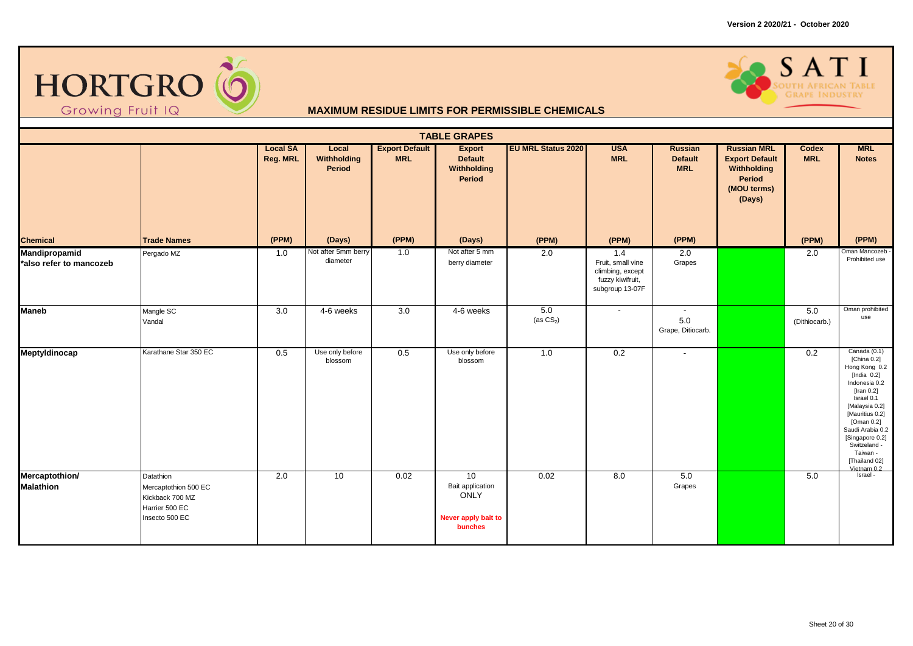



|                                          |                                                                                          |                             |                                 |                                     | <b>TABLE GRAPES</b>                                              |                           |                                                                                     |                                                |                                                                                               |                      |                                                                                                                                                                                                                                                                           |
|------------------------------------------|------------------------------------------------------------------------------------------|-----------------------------|---------------------------------|-------------------------------------|------------------------------------------------------------------|---------------------------|-------------------------------------------------------------------------------------|------------------------------------------------|-----------------------------------------------------------------------------------------------|----------------------|---------------------------------------------------------------------------------------------------------------------------------------------------------------------------------------------------------------------------------------------------------------------------|
|                                          |                                                                                          | <b>Local SA</b><br>Reg. MRL | Local<br>Withholding<br>Period  | <b>Export Default</b><br><b>MRL</b> | <b>Export</b><br><b>Default</b><br>Withholding<br>Period         | <b>EU MRL Status 2020</b> | <b>USA</b><br><b>MRL</b>                                                            | <b>Russian</b><br><b>Default</b><br><b>MRL</b> | <b>Russian MRL</b><br><b>Export Default</b><br>Withholding<br>Period<br>(MOU terms)<br>(Days) | Codex<br><b>MRL</b>  | <b>MRL</b><br><b>Notes</b>                                                                                                                                                                                                                                                |
| <b>Chemical</b>                          | <b>Trade Names</b>                                                                       | (PPM)                       | (Days)                          | (PPM)                               | (Days)                                                           | (PPM)                     | (PPM)                                                                               | (PPM)                                          |                                                                                               | (PPM)                | (PPM)                                                                                                                                                                                                                                                                     |
| Mandipropamid<br>*also refer to mancozeb | Pergado MZ                                                                               | 1.0                         | Not after 5mm berry<br>diameter | 1.0                                 | Not after 5 mm<br>berry diameter                                 | 2.0                       | 1.4<br>Fruit, small vine<br>climbing, except<br>fuzzy kiwifruit,<br>subgroup 13-07F | 2.0<br>Grapes                                  |                                                                                               | 2.0                  | Oman Mancozeb -<br>Prohibited use                                                                                                                                                                                                                                         |
| <b>Maneb</b>                             | Mangle SC<br>Vandal                                                                      | $\overline{3.0}$            | 4-6 weeks                       | $\overline{3.0}$                    | 4-6 weeks                                                        | 5.0<br>(as $CS_2$ )       | $\sim$                                                                              | $\sim$<br>5.0<br>Grape, Ditiocarb.             |                                                                                               | 5.0<br>(Dithiocarb.) | Oman prohibited<br>use                                                                                                                                                                                                                                                    |
| Meptyldinocap                            | Karathane Star 350 EC                                                                    | 0.5                         | Use only before<br>blossom      | 0.5                                 | Use only before<br>blossom                                       | 1.0                       | 0.2                                                                                 | $\blacksquare$                                 |                                                                                               | 0.2                  | Canada (0.1)<br>[China 0.2]<br>Hong Kong 0.2<br>[India $0.2$ ]<br>Indonesia 0.2<br>[Iran $0.2$ ]<br>Israel 0.1<br>[Malaysia 0.2]<br>[Mauritius 0.2]<br>[Oman $0.2$ ]<br>Saudi Arabia 0.2<br>[Singapore 0.2]<br>Switzeland -<br>Taiwan -<br>[Thailand 02]<br>Vietnam $0.2$ |
| Mercaptothion/<br><b>Malathion</b>       | Datathion<br>Mercaptothion 500 EC<br>Kickback 700 MZ<br>Harrier 500 EC<br>Insecto 500 EC | 2.0                         | 10                              | 0.02                                | 10<br>Bait application<br>ONLY<br>Never apply bait to<br>bunches | 0.02                      | 8.0                                                                                 | 5.0<br>Grapes                                  |                                                                                               | 5.0                  | Israel -                                                                                                                                                                                                                                                                  |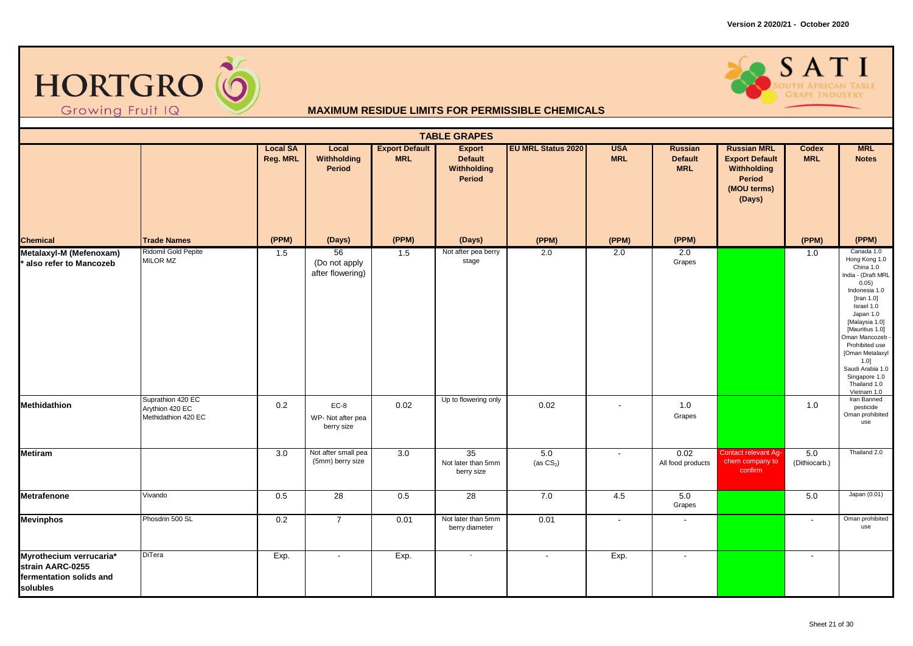

# SATI

|                                                                                    |                                                             |                             |                                           |                                     | <b>TABLE GRAPES</b>                                      |                          |                          |                                                |                                                                                               |                          |                                                                                                                                                                                                                                                                                                                         |
|------------------------------------------------------------------------------------|-------------------------------------------------------------|-----------------------------|-------------------------------------------|-------------------------------------|----------------------------------------------------------|--------------------------|--------------------------|------------------------------------------------|-----------------------------------------------------------------------------------------------|--------------------------|-------------------------------------------------------------------------------------------------------------------------------------------------------------------------------------------------------------------------------------------------------------------------------------------------------------------------|
|                                                                                    |                                                             | <b>Local SA</b><br>Reg. MRL | Local<br>Withholding<br>Period            | <b>Export Default</b><br><b>MRL</b> | <b>Export</b><br><b>Default</b><br>Withholding<br>Period | EU MRL Status 2020       | <b>USA</b><br><b>MRL</b> | <b>Russian</b><br><b>Default</b><br><b>MRL</b> | <b>Russian MRL</b><br><b>Export Default</b><br>Withholding<br>Period<br>(MOU terms)<br>(Days) | Codex<br><b>MRL</b>      | <b>MRL</b><br><b>Notes</b>                                                                                                                                                                                                                                                                                              |
| <b>Chemical</b>                                                                    | <b>Trade Names</b>                                          | (PPM)                       | (Days)                                    | (PPM)                               | (Days)                                                   | (PPM)                    | (PPM)                    | (PPM)                                          |                                                                                               | (PPM)                    | (PPM)                                                                                                                                                                                                                                                                                                                   |
| Metalaxyl-M (Mefenoxam)<br>also refer to Mancozeb                                  | Ridomil Gold Pepite<br>MILOR MZ                             | 1.5                         | 56<br>(Do not apply<br>after flowering)   | 1.5                                 | Not after pea berry<br>stage                             | 2.0                      | 2.0                      | 2.0<br>Grapes                                  |                                                                                               | 1.0                      | Canada 1.0<br>Hong Kong 1.0<br>China 1.0<br>India - (Draft MRL<br>0.05)<br>Indonesia 1.0<br>[Iran 1.0]<br>Israel 1.0<br>Japan 1.0<br>[Malaysia 1.0]<br>[Mauritius 1.0]<br>Oman Mancozeb<br>Prohibited use<br>[Oman Metalaxyl<br>1.0]<br>Saudi Arabia 1.0<br>Singapore 1.0<br>Thailand 1.0<br>Vietnam 1.0<br>Iran Banned |
| <b>Methidathion</b>                                                                | Suprathion 420 EC<br>Arythion 420 EC<br>Methidathion 420 EC | 0.2                         | $EC-8$<br>WP- Not after pea<br>berry size | 0.02                                | Up to flowering only                                     | 0.02                     | $\overline{\phantom{a}}$ | $1.0$<br>Grapes                                |                                                                                               | 1.0                      | pesticide<br>Oman prohibited<br>use                                                                                                                                                                                                                                                                                     |
| <b>Metiram</b>                                                                     |                                                             | 3.0                         | Not after small pea<br>(5mm) berry size   | 3.0                                 | 35<br>Not later than 5mm<br>berry size                   | 5.0<br>(as $CS2$ )       | $\blacksquare$           | 0.02<br>All food products                      | Contact relevant Ag-<br>chem company to<br>confirm                                            | 5.0<br>(Dithiocarb.)     | Thailand 2.0                                                                                                                                                                                                                                                                                                            |
| <b>Metrafenone</b>                                                                 | Vivando                                                     | 0.5                         | 28                                        | 0.5                                 | 28                                                       | 7.0                      | 4.5                      | 5.0<br>Grapes                                  |                                                                                               | 5.0                      | Japan (0.01)                                                                                                                                                                                                                                                                                                            |
| <b>Mevinphos</b>                                                                   | Phosdrin 500 SL                                             | 0.2                         | $\overline{7}$                            | 0.01                                | Not later than 5mm<br>berry diameter                     | 0.01                     | $\blacksquare$           | $\overline{a}$                                 |                                                                                               | $\blacksquare$           | Oman prohibited<br>use                                                                                                                                                                                                                                                                                                  |
| Myrothecium verrucaria*<br>strain AARC-0255<br>fermentation solids and<br>solubles | <b>DiTera</b>                                               | Exp.                        | $\blacksquare$                            | Exp.                                | $\sim$                                                   | $\overline{\phantom{a}}$ | Exp.                     |                                                |                                                                                               | $\overline{\phantom{a}}$ |                                                                                                                                                                                                                                                                                                                         |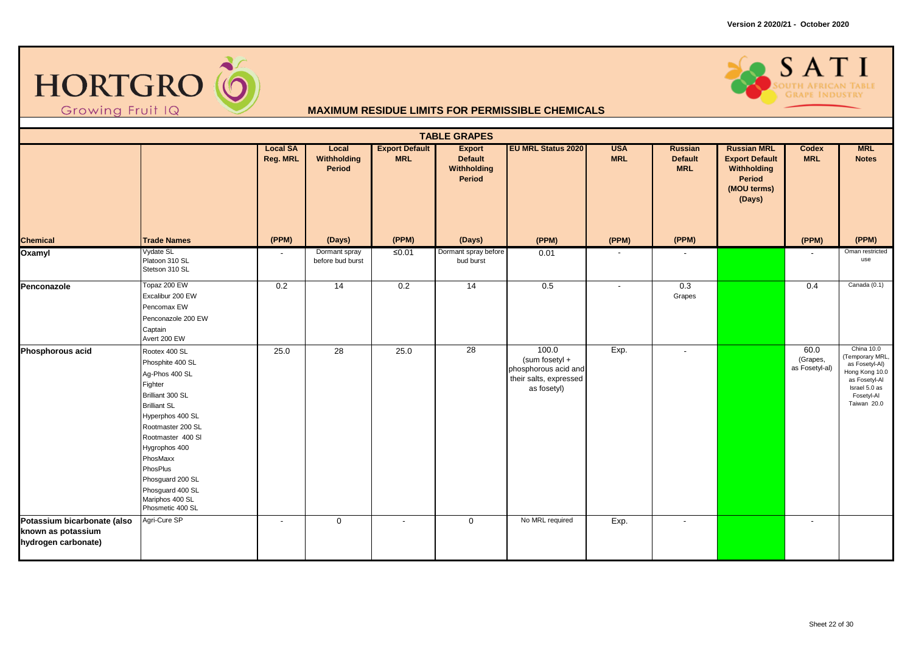



|                                                                          |                                                                                                                                                                                                                                                                                                 |                             |                                   |                                     | <b>TABLE GRAPES</b>                                      |                                                                                            |                          |                                         |                                                                                                      |                                    |                                                                                                                                  |
|--------------------------------------------------------------------------|-------------------------------------------------------------------------------------------------------------------------------------------------------------------------------------------------------------------------------------------------------------------------------------------------|-----------------------------|-----------------------------------|-------------------------------------|----------------------------------------------------------|--------------------------------------------------------------------------------------------|--------------------------|-----------------------------------------|------------------------------------------------------------------------------------------------------|------------------------------------|----------------------------------------------------------------------------------------------------------------------------------|
|                                                                          |                                                                                                                                                                                                                                                                                                 | <b>Local SA</b><br>Reg. MRL | Local<br>Withholding<br>Period    | <b>Export Default</b><br><b>MRL</b> | <b>Export</b><br><b>Default</b><br>Withholding<br>Period | <b>EU MRL Status 2020</b>                                                                  | <b>USA</b><br><b>MRL</b> | Russian<br><b>Default</b><br><b>MRL</b> | <b>Russian MRL</b><br><b>Export Default</b><br>Withholding<br><b>Period</b><br>(MOU terms)<br>(Days) | Codex<br><b>MRL</b>                | <b>MRL</b><br><b>Notes</b>                                                                                                       |
| <b>Chemical</b>                                                          | <b>Trade Names</b>                                                                                                                                                                                                                                                                              | (PPM)                       | (Days)                            | (PPM)                               | (Days)                                                   | (PPM)                                                                                      | (PPM)                    | (PPM)                                   |                                                                                                      | (PPM)                              | (PPM)                                                                                                                            |
| Oxamyl                                                                   | Vydate SL<br>Platoon 310 SL<br>Stetson 310 SL                                                                                                                                                                                                                                                   |                             | Dormant spray<br>before bud burst | ≤0.01                               | Dormant spray before<br>bud burst                        | 0.01                                                                                       |                          |                                         |                                                                                                      |                                    | Oman restricted<br>use                                                                                                           |
| Penconazole                                                              | Topaz 200 EW<br>Excalibur 200 EW<br>Pencomax EW<br>Penconazole 200 EW<br>Captain<br>Avert 200 EW                                                                                                                                                                                                | 0.2                         | $\overline{14}$                   | 0.2                                 | 14                                                       | $\overline{0.5}$                                                                           | $\sim$                   | 0.3<br>Grapes                           |                                                                                                      | 0.4                                | Canada (0.1)                                                                                                                     |
| Phosphorous acid                                                         | Rootex 400 SL<br>Phosphite 400 SL<br>Ag-Phos 400 SL<br>Fighter<br>Brilliant 300 SL<br><b>Brilliant SL</b><br>Hyperphos 400 SL<br>Rootmaster 200 SL<br>Rootmaster 400 SI<br>Hygrophos 400<br>PhosMaxx<br>PhosPlus<br>Phosguard 200 SL<br>Phosguard 400 SL<br>Mariphos 400 SL<br>Phosmetic 400 SL | 25.0                        | 28                                | 25.0                                | 28                                                       | 100.0<br>$(sum$ fosetyl +<br>phosphorous acid and<br>their salts, expressed<br>as fosetyl) | Exp.                     | $\overline{\phantom{a}}$                |                                                                                                      | 60.0<br>(Grapes,<br>as Fosetyl-al) | China 10.0<br>(Temporary MRL,<br>as Fosetyl-Al)<br>Hong Kong 10.0<br>as Fosetyl-Al<br>Israel 5.0 as<br>Fosetyl-Al<br>Taiwan 20.0 |
| Potassium bicarbonate (also<br>known as potassium<br>hydrogen carbonate) | Agri-Cure SP                                                                                                                                                                                                                                                                                    | $\overline{\phantom{a}}$    | $\mathbf 0$                       | $\blacksquare$                      | $\mathbf 0$                                              | No MRL required                                                                            | Exp.                     | $\overline{\phantom{a}}$                |                                                                                                      | $\overline{\phantom{a}}$           |                                                                                                                                  |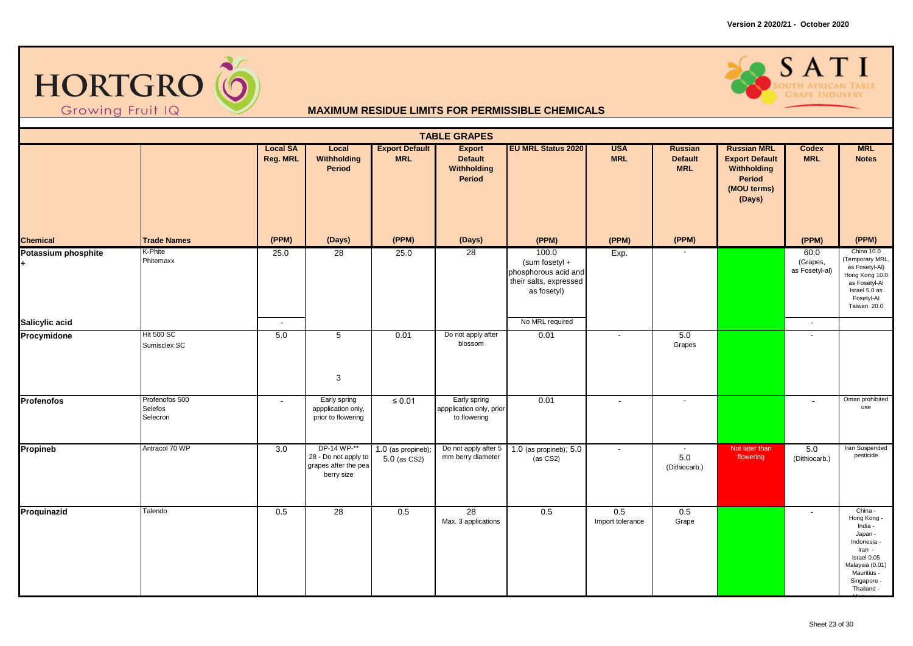



|                     |                                       |                             |                                                                           |                                     | <b>TABLE GRAPES</b>                                      |                                                                                          |                          |                                                      |                                                                                               |                                    |                                                                                                                                                   |
|---------------------|---------------------------------------|-----------------------------|---------------------------------------------------------------------------|-------------------------------------|----------------------------------------------------------|------------------------------------------------------------------------------------------|--------------------------|------------------------------------------------------|-----------------------------------------------------------------------------------------------|------------------------------------|---------------------------------------------------------------------------------------------------------------------------------------------------|
|                     |                                       | <b>Local SA</b><br>Reg. MRL | Local<br>Withholding<br>Period                                            | <b>Export Default</b><br><b>MRL</b> | <b>Export</b><br><b>Default</b><br>Withholding<br>Period | <b>EU MRL Status 2020</b>                                                                | <b>USA</b><br><b>MRL</b> | <b>Russian</b><br><b>Default</b><br><b>MRL</b>       | <b>Russian MRL</b><br><b>Export Default</b><br>Withholding<br>Period<br>(MOU terms)<br>(Days) | Codex<br><b>MRL</b>                | <b>MRL</b><br><b>Notes</b>                                                                                                                        |
| <b>Chemical</b>     | <b>Trade Names</b>                    | (PPM)                       | (Days)                                                                    | (PPM)                               | (Days)                                                   | (PPM)                                                                                    | (PPM)                    | (PPM)                                                |                                                                                               | (PPM)                              | (PPM)                                                                                                                                             |
| Potassium phosphite | K-Phite<br>Phitemaxx                  | 25.0                        | 28                                                                        | 25.0                                | 28                                                       | 100.0<br>(sum fosetyl +<br>phosphorous acid and<br>their salts, expressed<br>as fosetyl) | Exp.                     |                                                      |                                                                                               | 60.0<br>(Grapes,<br>as Fosetyl-al) | China 10.0<br>(Temporary MRL,<br>as Fosetyl-Al)<br>Hong Kong 10.0<br>as Fosetyl-Al<br>Israel 5.0 as<br>Fosetyl-Al<br>Taiwan 20.0                  |
| Salicylic acid      |                                       | $\overline{\phantom{a}}$    |                                                                           |                                     |                                                          | No MRL required                                                                          |                          |                                                      |                                                                                               | $\blacksquare$                     |                                                                                                                                                   |
| Procymidone         | <b>Hit 500 SC</b><br>Sumisclex SC     | 5.0                         | 5<br>3                                                                    | 0.01                                | Do not apply after<br>blossom                            | 0.01                                                                                     | $\mathbf{r}$             | 5.0<br>Grapes                                        |                                                                                               |                                    |                                                                                                                                                   |
| <b>Profenofos</b>   | Profenofos 500<br>Selefos<br>Selecron | $\blacksquare$              | Early spring<br>appplication only,<br>prior to flowering                  | $\leq 0.01$                         | Early spring<br>appplication only, prior<br>to flowering | 0.01                                                                                     | $\blacksquare$           | $\overline{\phantom{a}}$                             |                                                                                               | $\overline{\phantom{a}}$           | Oman prohibited<br>use                                                                                                                            |
| Propineb            | Antracol 70 WP                        | 3.0                         | DP-14 WP-**<br>28 - Do not apply to<br>grapes after the pea<br>berry size | 1.0 (as propineb);<br>5.0 (as CS2)  | Do not apply after 5<br>mm berry diameter                | 1.0 (as propineb); 5.0<br>$(x)$ (as $CS2$ )                                              | $\overline{\phantom{a}}$ | $\overline{\phantom{a}}$<br>$5.0\,$<br>(Dithiocarb.) | Not later than<br>flowering                                                                   | 5.0<br>(Dithiocarb.)               | Iran Suspended<br>pesticide                                                                                                                       |
| Proquinazid         | Talendo                               | 0.5                         | $\overline{28}$                                                           | 0.5                                 | $\overline{28}$<br>Max. 3 applications                   | 0.5                                                                                      | 0.5<br>Import tolerance  | 0.5<br>Grape                                         |                                                                                               | $\sim$                             | China -<br>Hong Kong -<br>India -<br>Japan -<br>Indonesia<br>Iran -<br>Israel 0.05<br>Malaysia (0.01)<br>Mauritius -<br>Singapore -<br>Thailand - |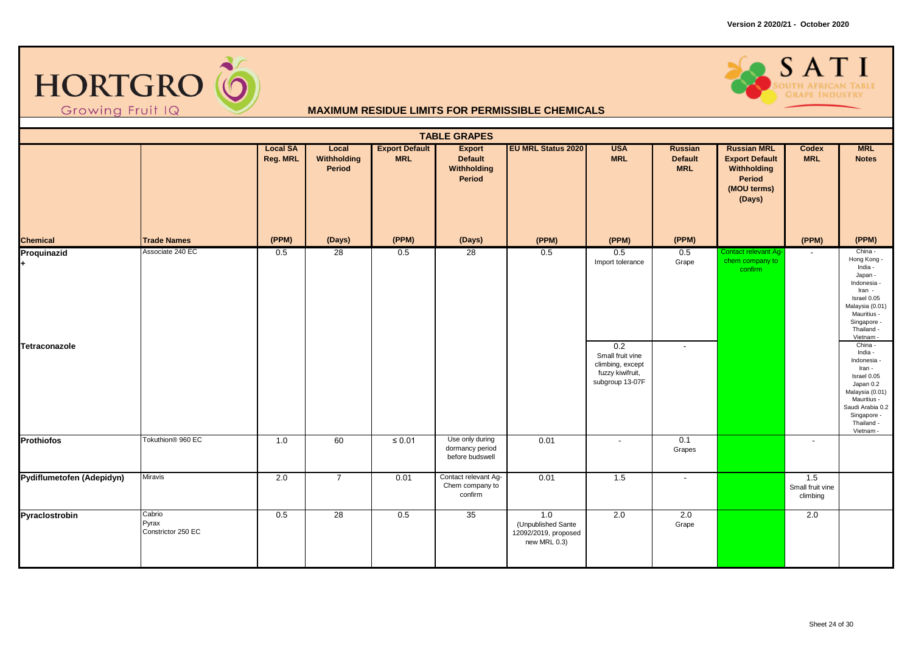



|                              |                                       |                                    |                                |                                     | <b>TABLE GRAPES</b>                                      |                                                                   |                                                                                                               |                                                |                                                                                               |                                     |                                                                                                                                                                                                                                                                                                                                             |
|------------------------------|---------------------------------------|------------------------------------|--------------------------------|-------------------------------------|----------------------------------------------------------|-------------------------------------------------------------------|---------------------------------------------------------------------------------------------------------------|------------------------------------------------|-----------------------------------------------------------------------------------------------|-------------------------------------|---------------------------------------------------------------------------------------------------------------------------------------------------------------------------------------------------------------------------------------------------------------------------------------------------------------------------------------------|
|                              |                                       | <b>Local SA</b><br><b>Reg. MRL</b> | Local<br>Withholding<br>Period | <b>Export Default</b><br><b>MRL</b> | <b>Export</b><br><b>Default</b><br>Withholding<br>Period | <b>EU MRL Status 2020</b>                                         | <b>USA</b><br><b>MRL</b>                                                                                      | <b>Russian</b><br><b>Default</b><br><b>MRL</b> | <b>Russian MRL</b><br><b>Export Default</b><br>Withholding<br>Period<br>(MOU terms)<br>(Days) | Codex<br><b>MRL</b>                 | <b>MRL</b><br><b>Notes</b>                                                                                                                                                                                                                                                                                                                  |
| <b>Chemical</b>              | <b>Trade Names</b>                    | (PPM)                              | (Days)                         | (PPM)                               | (Days)                                                   | (PPM)                                                             | (PPM)                                                                                                         | (PPM)                                          |                                                                                               | (PPM)                               | (PPM)                                                                                                                                                                                                                                                                                                                                       |
| Proquinazid<br>Tetraconazole | Associate 240 EC                      | 0.5                                | 28                             | 0.5                                 | 28                                                       | 0.5                                                               | 0.5<br>Import tolerance<br>0.2<br>Small fruit vine<br>climbing, except<br>fuzzy kiwifruit,<br>subgroup 13-07F | 0.5<br>Grape<br>$\overline{\phantom{a}}$       | Contact relevant Ag-<br>chem company to<br>confirm                                            | $\sim$                              | China -<br>Hong Kong -<br>India -<br>Japan -<br>Indonesia -<br>Iran -<br>Israel 0.05<br>Malaysia (0.01)<br>Mauritius -<br>Singapore -<br>Thailand -<br>Vietnam -<br>China -<br>India -<br>Indonesia -<br>Iran -<br>Israel 0.05<br>Japan 0.2<br>Malaysia (0.01)<br>Mauritius -<br>Saudi Arabia 0.2<br>Singapore -<br>Thailand -<br>Vietnam - |
| <b>Prothiofos</b>            | Tokuthion <sup>®</sup> 960 EC         | 1.0                                | 60                             | $\leq 0.01$                         | Use only during<br>dormancy period<br>before budswell    | 0.01                                                              | $\blacksquare$                                                                                                | 0.1<br>Grapes                                  |                                                                                               | $\overline{\phantom{a}}$            |                                                                                                                                                                                                                                                                                                                                             |
| Pydiflumetofen (Adepidyn)    | <b>Miravis</b>                        | 2.0                                | $\overline{7}$                 | 0.01                                | Contact relevant Ag-<br>Chem company to<br>confirm       | 0.01                                                              | 1.5                                                                                                           | $\overline{\phantom{a}}$                       |                                                                                               | 1.5<br>Small fruit vine<br>climbing |                                                                                                                                                                                                                                                                                                                                             |
| Pyraclostrobin               | Cabrio<br>Pyrax<br>Constrictor 250 EC | 0.5                                | 28                             | 0.5                                 | 35                                                       | 1.0<br>(Unpublished Sante<br>12092/2019, proposed<br>new MRL 0.3) | 2.0                                                                                                           | 2.0<br>Grape                                   |                                                                                               | 2.0                                 |                                                                                                                                                                                                                                                                                                                                             |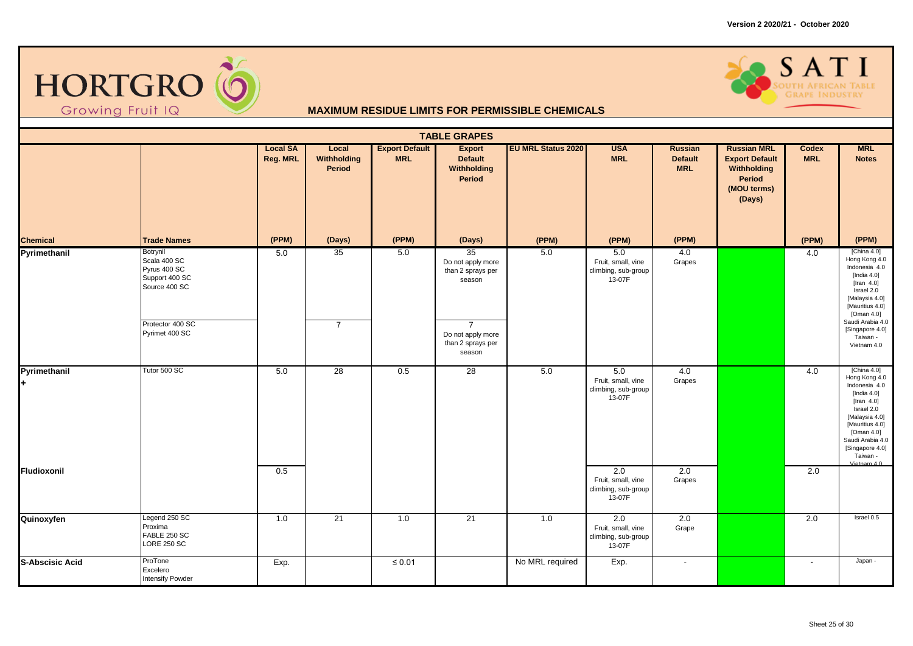



| <b>TABLE GRAPES</b>    |                                                                             |                             |                                |                                     |                                                                    |                           |                                                                         |                                                |                                                                                               |                            |                                                                                                                                                                                                                     |  |
|------------------------|-----------------------------------------------------------------------------|-----------------------------|--------------------------------|-------------------------------------|--------------------------------------------------------------------|---------------------------|-------------------------------------------------------------------------|------------------------------------------------|-----------------------------------------------------------------------------------------------|----------------------------|---------------------------------------------------------------------------------------------------------------------------------------------------------------------------------------------------------------------|--|
|                        |                                                                             | <b>Local SA</b><br>Reg. MRL | Local<br>Withholding<br>Period | <b>Export Default</b><br><b>MRL</b> | <b>Export</b><br><b>Default</b><br>Withholding<br>Period           | <b>EU MRL Status 2020</b> | <b>USA</b><br><b>MRL</b>                                                | <b>Russian</b><br><b>Default</b><br><b>MRL</b> | <b>Russian MRL</b><br><b>Export Default</b><br>Withholding<br>Period<br>(MOU terms)<br>(Days) | <b>Codex</b><br><b>MRL</b> | <b>MRL</b><br><b>Notes</b>                                                                                                                                                                                          |  |
| <b>Chemical</b>        | <b>Trade Names</b>                                                          | (PPM)                       | (Days)                         | (PPM)                               | (Days)                                                             | (PPM)                     | (PPM)                                                                   | (PPM)                                          |                                                                                               | (PPM)                      | (PPM)                                                                                                                                                                                                               |  |
| Pyrimethanil           | Botrynil<br>Scala 400 SC<br>Pyrus 400 SC<br>Support 400 SC<br>Source 400 SC | 5.0                         | 35                             | 5.0                                 | 35<br>Do not apply more<br>than 2 sprays per<br>season             | 5.0                       | 5.0<br>Fruit, small, vine<br>climbing, sub-group<br>13-07F              | 4.0<br>Grapes                                  |                                                                                               | 4.0                        | [China $4.0$ ]<br>Hong Kong 4.0<br>Indonesia 4.0<br>[India $4.0$ ]<br>[Iran $4.0$ ]<br>Israel 2.0<br>[Malaysia 4.0]<br>[Mauritius 4.0]<br>[Oman 4.0]                                                                |  |
|                        | Protector 400 SC<br>Pyrimet 400 SC                                          |                             | $\overline{7}$                 |                                     | $\overline{7}$<br>Do not apply more<br>than 2 sprays per<br>season |                           |                                                                         |                                                |                                                                                               |                            | Saudi Arabia 4.0<br>[Singapore 4.0]<br>Taiwan -<br>Vietnam 4.0                                                                                                                                                      |  |
| Pyrimethanil           | Tutor 500 SC                                                                | $5.0$                       | $\overline{28}$                | 0.5                                 | 28                                                                 | 5.0                       | 5.0<br>Fruit, small, vine<br>climbing, sub-group<br>13-07F              | 4.0<br>Grapes                                  |                                                                                               | 4.0                        | [China 4.0]<br>Hong Kong 4.0<br>Indonesia 4.0<br>[India $4.0$ ]<br>[Iran $4.0$ ]<br>Israel 2.0<br>[Malaysia 4.0]<br>[Mauritius 4.0]<br>[Oman 4.0]<br>Saudi Arabia 4.0<br>[Singapore 4.0]<br>Taiwan -<br>Vietnam 4.0 |  |
| Fludioxonil            |                                                                             | 0.5                         |                                |                                     |                                                                    |                           | $\overline{2.0}$<br>Fruit, small, vine<br>climbing, sub-group<br>13-07F | 2.0<br>Grapes                                  |                                                                                               | $\overline{2.0}$           |                                                                                                                                                                                                                     |  |
| Quinoxyfen             | Legend 250 SC<br>Proxima<br>FABLE 250 SC<br><b>LORE 250 SC</b>              | 1.0                         | 21                             | 1.0                                 | 21                                                                 | 1.0                       | $\overline{2.0}$<br>Fruit, small, vine<br>climbing, sub-group<br>13-07F | 2.0<br>Grape                                   |                                                                                               | 2.0                        | Israel 0.5                                                                                                                                                                                                          |  |
| <b>S-Abscisic Acid</b> | ProTone<br>Excelero<br><b>Intensify Powder</b>                              | Exp.                        |                                | $\leq 0.01$                         |                                                                    | No MRL required           | Exp.                                                                    | $\sim$                                         |                                                                                               | $\sim$                     | Japan -                                                                                                                                                                                                             |  |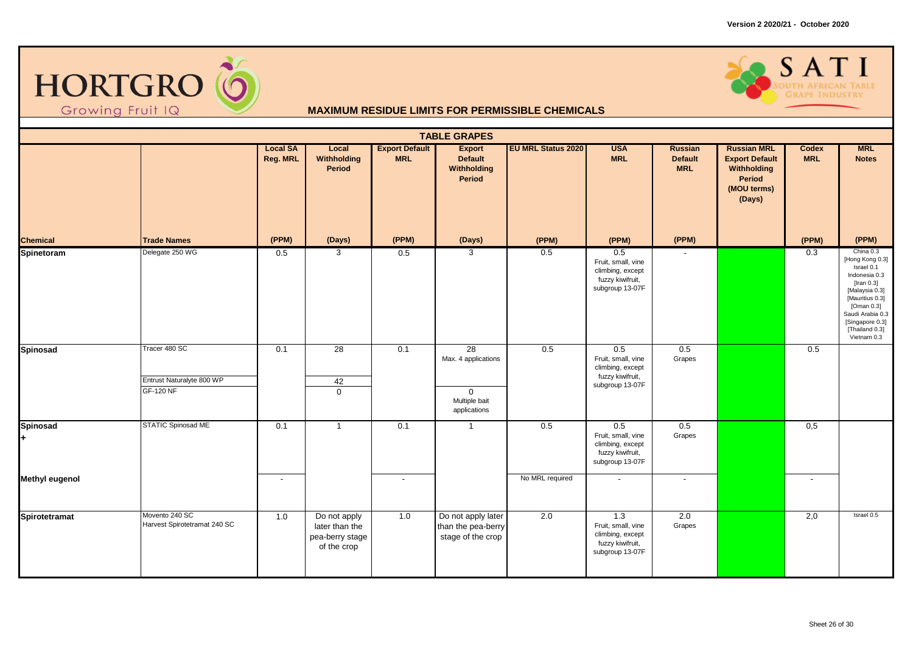



| <b>TABLE GRAPES</b>   |                                                                |                             |                                                                  |                                     |                                                                           |                           |                                                                                      |                                                |                                                                                                      |                          |                                                                                                                                                                                                        |  |  |
|-----------------------|----------------------------------------------------------------|-----------------------------|------------------------------------------------------------------|-------------------------------------|---------------------------------------------------------------------------|---------------------------|--------------------------------------------------------------------------------------|------------------------------------------------|------------------------------------------------------------------------------------------------------|--------------------------|--------------------------------------------------------------------------------------------------------------------------------------------------------------------------------------------------------|--|--|
|                       |                                                                | <b>Local SA</b><br>Reg. MRL | Local<br>Withholding<br>Period                                   | <b>Export Default</b><br><b>MRL</b> | <b>Export</b><br><b>Default</b><br>Withholding<br>Period                  | <b>EU MRL Status 2020</b> | <b>USA</b><br><b>MRL</b>                                                             | <b>Russian</b><br><b>Default</b><br><b>MRL</b> | <b>Russian MRL</b><br><b>Export Default</b><br>Withholding<br><b>Period</b><br>(MOU terms)<br>(Days) | Codex<br><b>MRL</b>      | <b>MRL</b><br><b>Notes</b>                                                                                                                                                                             |  |  |
| <b>Chemical</b>       | <b>Trade Names</b>                                             | (PPM)                       | (Days)                                                           | (PPM)                               | (Days)                                                                    | (PPM)                     | (PPM)                                                                                | (PPM)                                          |                                                                                                      | (PPM)                    | (PPM)                                                                                                                                                                                                  |  |  |
| Spinetoram            | Delegate 250 WG                                                | 0.5                         | $\mathbf{3}$                                                     | 0.5                                 | 3                                                                         | 0.5                       | 0.5<br>Fruit, small, vine<br>climbing, except<br>fuzzy kiwifruit,<br>subgroup 13-07F |                                                |                                                                                                      | 0.3                      | China 0.3<br>[Hong Kong 0.3]<br>Israel 0.1<br>Indonesia 0.3<br>[Iran 0.3]<br>[Malaysia 0.3]<br>[Mauritius 0.3]<br>[Oman 0.3]<br>Saudi Arabia 0.3<br>[Singapore 0.3]<br>$[Thailand 0.3]$<br>Vietnam 0.3 |  |  |
| <b>Spinosad</b>       | Tracer 480 SC<br>Entrust Naturalyte 800 WP<br><b>GF-120 NF</b> | 0.1                         | 28<br>42<br>$\mathbf 0$                                          | 0.1                                 | 28<br>Max. 4 applications<br>$\mathbf 0$<br>Multiple bait<br>applications | 0.5                       | 0.5<br>Fruit, small, vine<br>climbing, except<br>fuzzy kiwifruit,<br>subgroup 13-07F | 0.5<br>Grapes                                  |                                                                                                      | 0.5                      |                                                                                                                                                                                                        |  |  |
| <b>Spinosad</b>       | STATIC Spinosad ME                                             | 0.1                         | $\overline{1}$                                                   | 0.1                                 | $\overline{1}$                                                            | 0.5                       | 0.5<br>Fruit, small, vine<br>climbing, except<br>fuzzy kiwifruit,<br>subgroup 13-07F | 0.5<br>Grapes                                  |                                                                                                      | 0,5                      |                                                                                                                                                                                                        |  |  |
| <b>Methyl eugenol</b> |                                                                | $\blacksquare$              |                                                                  | $\overline{\phantom{a}}$            |                                                                           | No MRL required           | $\overline{\phantom{a}}$                                                             | $\sim$                                         |                                                                                                      | $\overline{\phantom{a}}$ |                                                                                                                                                                                                        |  |  |
| Spirotetramat         | Movento 240 SC<br>Harvest Spirotetramat 240 SC                 | 1.0                         | Do not apply<br>later than the<br>pea-berry stage<br>of the crop | 1.0                                 | Do not apply later<br>than the pea-berry<br>stage of the crop             | $\overline{2.0}$          | 1.3<br>Fruit, small, vine<br>climbing, except<br>fuzzy kiwifruit,<br>subgroup 13-07F | 2.0<br>Grapes                                  |                                                                                                      | 2,0                      | Israel 0.5                                                                                                                                                                                             |  |  |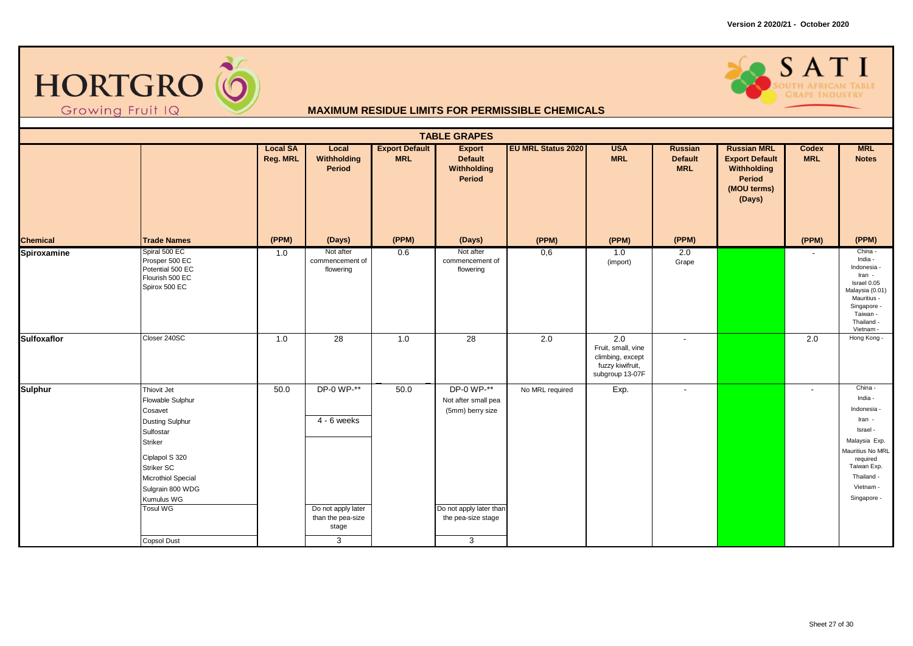



| <b>TABLE GRAPES</b> |                                                                                                                                                                                                                 |                             |                                                                                      |                                     |                                                                                                             |                           |                                                                                                   |                                                |                                                                                               |                            |                                                                                                                                                                   |  |
|---------------------|-----------------------------------------------------------------------------------------------------------------------------------------------------------------------------------------------------------------|-----------------------------|--------------------------------------------------------------------------------------|-------------------------------------|-------------------------------------------------------------------------------------------------------------|---------------------------|---------------------------------------------------------------------------------------------------|------------------------------------------------|-----------------------------------------------------------------------------------------------|----------------------------|-------------------------------------------------------------------------------------------------------------------------------------------------------------------|--|
|                     |                                                                                                                                                                                                                 | <b>Local SA</b><br>Reg. MRL | Local<br>Withholding<br><b>Period</b>                                                | <b>Export Default</b><br><b>MRL</b> | <b>Export</b><br><b>Default</b><br>Withholding<br>Period                                                    | <b>EU MRL Status 2020</b> | <b>USA</b><br><b>MRL</b>                                                                          | <b>Russian</b><br><b>Default</b><br><b>MRL</b> | <b>Russian MRL</b><br><b>Export Default</b><br>Withholding<br>Period<br>(MOU terms)<br>(Days) | <b>Codex</b><br><b>MRL</b> | <b>MRL</b><br><b>Notes</b>                                                                                                                                        |  |
| <b>Chemical</b>     | <b>Trade Names</b>                                                                                                                                                                                              | (PPM)                       | (Days)                                                                               | (PPM)                               | (Days)                                                                                                      | (PPM)                     | (PPM)                                                                                             | (PPM)                                          |                                                                                               | (PPM)                      | (PPM)                                                                                                                                                             |  |
| Spiroxamine         | Spiral 500 EC<br>Prosper 500 EC<br>Potential 500 EC<br>Flourish 500 EC<br>Spirox 500 EC                                                                                                                         | 1.0                         | Not after<br>commencement of<br>flowering                                            | 0.6                                 | Not after<br>commencement of<br>flowering                                                                   | 0,6                       | 1.0<br>(import)                                                                                   | 2.0<br>Grape                                   |                                                                                               |                            | China -<br>India -<br>Indonesia -<br>Iran -<br>Israel 0.05<br>Malaysia (0.01)<br>Mauritius -<br>Singapore -<br>Taiwan -<br>Thailand -<br>Vietnam -                |  |
| <b>Sulfoxaflor</b>  | Closer 240SC                                                                                                                                                                                                    | 1.0                         | 28                                                                                   | 1.0                                 | 28                                                                                                          | $\overline{2.0}$          | $\overline{2.0}$<br>Fruit, small, vine<br>climbing, except<br>fuzzy kiwifruit,<br>subgroup 13-07F | $\sim$                                         |                                                                                               | 2.0                        | Hong Kong -                                                                                                                                                       |  |
| <b>Sulphur</b>      | Thiovit Jet<br>Flowable Sulphur<br>Cosavet<br>Dusting Sulphur<br>Sulfostar<br>Striker<br>Ciplapol S 320<br>Striker SC<br>Microthiol Special<br>Sulgrain 800 WDG<br>Kumulus WG<br><b>Tosul WG</b><br>Copsol Dust | 50.0                        | DP-0 WP-**<br>$4 - 6$ weeks<br>Do not apply later<br>than the pea-size<br>stage<br>3 | 50.0                                | DP-0 WP-**<br>Not after small pea<br>(5mm) berry size<br>Do not apply later than<br>the pea-size stage<br>3 | No MRL required           | Exp.                                                                                              | $\overline{\phantom{a}}$                       |                                                                                               | $\overline{\phantom{a}}$   | China -<br>India -<br>Indonesia -<br>Iran -<br>Israel -<br>Malaysia Exp.<br>Mauritius No MRL<br>required<br>Taiwan Exp.<br>Thailand -<br>Vietnam -<br>Singapore - |  |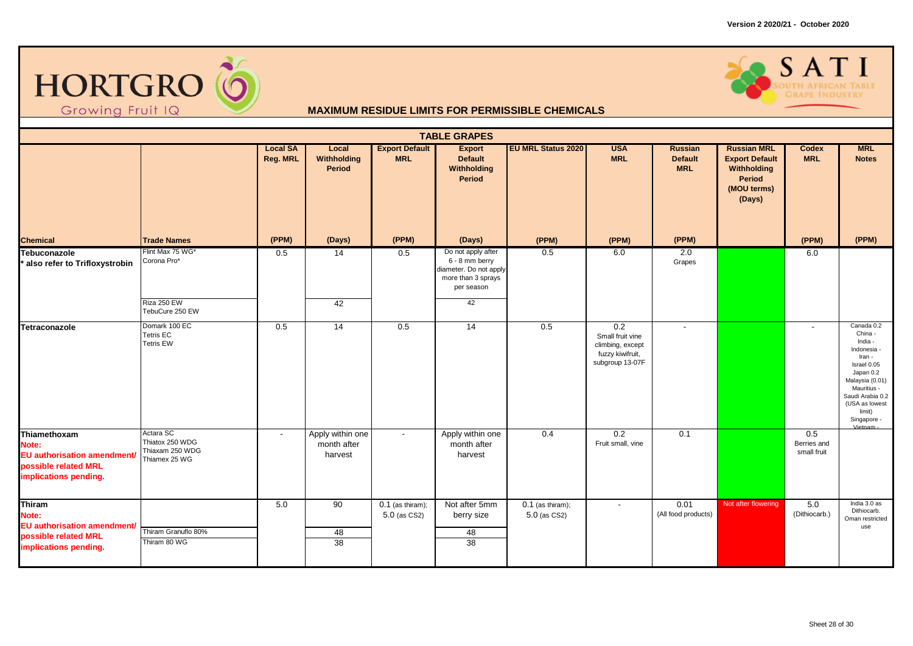



| <b>TABLE GRAPES</b>                                                                                          |                                                                  |                             |                                            |                                     |                                                                                                    |                                    |                                                                                    |                                                |                                                                                               |                                   |                                                                                                                                                                                                   |  |
|--------------------------------------------------------------------------------------------------------------|------------------------------------------------------------------|-----------------------------|--------------------------------------------|-------------------------------------|----------------------------------------------------------------------------------------------------|------------------------------------|------------------------------------------------------------------------------------|------------------------------------------------|-----------------------------------------------------------------------------------------------|-----------------------------------|---------------------------------------------------------------------------------------------------------------------------------------------------------------------------------------------------|--|
|                                                                                                              |                                                                  | <b>Local SA</b><br>Reg. MRL | Local<br>Withholding<br>Period             | <b>Export Default</b><br><b>MRL</b> | <b>Export</b><br><b>Default</b><br>Withholding<br>Period                                           | <b>EU MRL Status 2020</b>          | <b>USA</b><br><b>MRL</b>                                                           | <b>Russian</b><br><b>Default</b><br><b>MRL</b> | <b>Russian MRL</b><br><b>Export Default</b><br>Withholding<br>Period<br>(MOU terms)<br>(Days) | Codex<br><b>MRL</b>               | <b>MRL</b><br><b>Notes</b>                                                                                                                                                                        |  |
| <b>Chemical</b>                                                                                              | <b>Trade Names</b>                                               | (PPM)                       | (Days)                                     | (PPM)                               | (Days)                                                                                             | (PPM)                              | (PPM)                                                                              | (PPM)                                          |                                                                                               | (PPM)                             | (PPM)                                                                                                                                                                                             |  |
| Tebuconazole<br>also refer to Trifloxystrobin                                                                | Flint Max 75 WG*<br>Corona Pro*                                  | 0.5                         | 14                                         | 0.5                                 | Do not apply after<br>6 - 8 mm berry<br>diameter. Do not apply<br>more than 3 sprays<br>per season | 0.5                                | 6.0                                                                                | 2.0<br>Grapes                                  |                                                                                               | 6.0                               |                                                                                                                                                                                                   |  |
|                                                                                                              | Riza 250 EW<br>TebuCure 250 EW                                   |                             | 42                                         |                                     | 42                                                                                                 |                                    |                                                                                    |                                                |                                                                                               |                                   |                                                                                                                                                                                                   |  |
| Tetraconazole                                                                                                | Domark 100 EC<br><b>Tetris EC</b><br><b>Tetris EW</b>            | 0.5                         | 14                                         | 0.5                                 | 14                                                                                                 | 0.5                                | 0.2<br>Small fruit vine<br>climbing, except<br>fuzzy kiwifruit,<br>subgroup 13-07F | $\blacksquare$                                 |                                                                                               | $\blacksquare$                    | Canada 0.2<br>China -<br>India -<br>Indonesia -<br>Iran -<br>Israel 0.05<br>Japan 0.2<br>Malaysia (0.01)<br>Mauritius -<br>Saudi Arabia 0.2<br>(USA as lowest<br>limit)<br>Singapore -<br>Vietnam |  |
| Thiamethoxam<br>Note:<br><b>EU authorisation amendment/</b><br>possible related MRL<br>implications pending. | Actara SC<br>Thiatox 250 WDG<br>Thiaxam 250 WDG<br>Thiamex 25 WG | $\overline{\phantom{a}}$    | Apply within one<br>month after<br>harvest | $\overline{\phantom{a}}$            | Apply within one<br>month after<br>harvest                                                         | 0.4                                | 0.2<br>Fruit small, vine                                                           | 0.1                                            |                                                                                               | 0.5<br>Berries and<br>small fruit |                                                                                                                                                                                                   |  |
| Thiram<br>Note:<br><b>EU</b> authorisation amendment/<br>possible related MRL<br>implications pending.       | Thiram Granuflo 80%<br>Thiram 80 WG                              | 5.0                         | 90<br>48<br>38                             | $0.1$ (as thiram);<br>5.0 (as CS2)  | Not after 5mm<br>berry size<br>48<br>38                                                            | $0.1$ (as thiram);<br>5.0 (as CS2) | $\blacksquare$                                                                     | 0.01<br>(All food products)                    | Not after flowering                                                                           | 5.0<br>(Dithiocarb.)              | India 3.0 as<br>Dithiocarb.<br>Oman restricted<br>use                                                                                                                                             |  |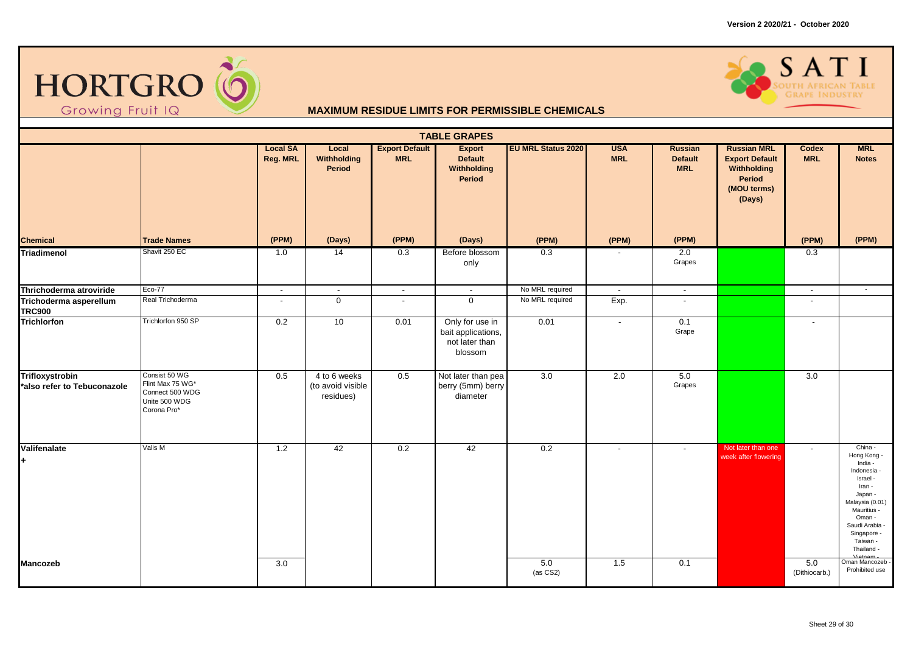



| <b>TABLE GRAPES</b>                            |                                                                                      |                             |                                                |                                     |                                                                    |                           |                          |                                                |                                                                                               |                          |                                                                                                                                                                                                     |  |
|------------------------------------------------|--------------------------------------------------------------------------------------|-----------------------------|------------------------------------------------|-------------------------------------|--------------------------------------------------------------------|---------------------------|--------------------------|------------------------------------------------|-----------------------------------------------------------------------------------------------|--------------------------|-----------------------------------------------------------------------------------------------------------------------------------------------------------------------------------------------------|--|
|                                                |                                                                                      | <b>Local SA</b><br>Reg. MRL | Local<br>Withholding<br>Period                 | <b>Export Default</b><br><b>MRL</b> | <b>Export</b><br><b>Default</b><br>Withholding<br>Period           | <b>EU MRL Status 2020</b> | <b>USA</b><br><b>MRL</b> | <b>Russian</b><br><b>Default</b><br><b>MRL</b> | <b>Russian MRL</b><br><b>Export Default</b><br>Withholding<br>Period<br>(MOU terms)<br>(Days) | Codex<br><b>MRL</b>      | <b>MRL</b><br><b>Notes</b>                                                                                                                                                                          |  |
| <b>Chemical</b>                                | <b>Trade Names</b>                                                                   | (PPM)                       | (Days)                                         | (PPM)                               | (Days)                                                             | (PPM)                     | (PPM)                    | (PPM)                                          |                                                                                               | (PPM)                    | (PPM)                                                                                                                                                                                               |  |
| Triadimenol                                    | Shavit 250 EC                                                                        | 1.0                         | $\overline{14}$                                | 0.3                                 | Before blossom<br>only                                             | 0.3                       | $\overline{\phantom{a}}$ | 2.0<br>Grapes                                  |                                                                                               | 0.3                      |                                                                                                                                                                                                     |  |
| Thrichoderma atroviride                        | <b>Eco-77</b>                                                                        | $\overline{\phantom{a}}$    | $\overline{\phantom{a}}$                       | $\blacksquare$                      | $\blacksquare$                                                     | No MRL required           | $\blacksquare$           | $\overline{\phantom{a}}$                       |                                                                                               | $\overline{\phantom{a}}$ | $\sim$                                                                                                                                                                                              |  |
| Trichoderma asperellum<br><b>TRC900</b>        | Real Trichoderma                                                                     | $\overline{\phantom{a}}$    | $\overline{0}$                                 | $\blacksquare$                      | $\overline{0}$                                                     | No MRL required           | Exp.                     | $\sim$                                         |                                                                                               | $\blacksquare$           |                                                                                                                                                                                                     |  |
| <b>Trichlorfon</b>                             | Trichlorfon 950 SP                                                                   | 0.2                         | 10                                             | 0.01                                | Only for use in<br>bait applications,<br>not later than<br>blossom | 0.01                      | $\blacksquare$           | 0.1<br>Grape                                   |                                                                                               | $\sim$                   |                                                                                                                                                                                                     |  |
| Trifloxystrobin<br>*also refer to Tebuconazole | Consist 50 WG<br>Flint Max 75 WG*<br>Connect 500 WDG<br>Unite 500 WDG<br>Corona Pro* | 0.5                         | 4 to 6 weeks<br>(to avoid visible<br>residues) | 0.5                                 | Not later than pea<br>berry (5mm) berry<br>diameter                | $\overline{3.0}$          | 2.0                      | 5.0<br>Grapes                                  |                                                                                               | $\overline{3.0}$         |                                                                                                                                                                                                     |  |
| Valifenalate                                   | Valis M                                                                              | $1.2$                       | 42                                             | 0.2                                 | 42                                                                 | 0.2                       | $\blacksquare$           | $\sim$                                         | Not later than one<br>week after flowering                                                    | $\mathbf{r}$             | China -<br>Hong Kong -<br>India -<br>Indonesia -<br>Israel -<br>Iran -<br>Japan -<br>Malaysia (0.01)<br>Mauritius -<br>Oman -<br>Saudi Arabia -<br>Singapore -<br>Taiwan -<br>Thailand -<br>Vietnam |  |
| <b>Mancozeb</b>                                |                                                                                      | 3.0                         |                                                |                                     |                                                                    | 5.0<br>(as CS2)           | 1.5                      | 0.1                                            |                                                                                               | 5.0<br>(Dithiocarb.)     | Oman Mancozeb -<br>Prohibited use                                                                                                                                                                   |  |